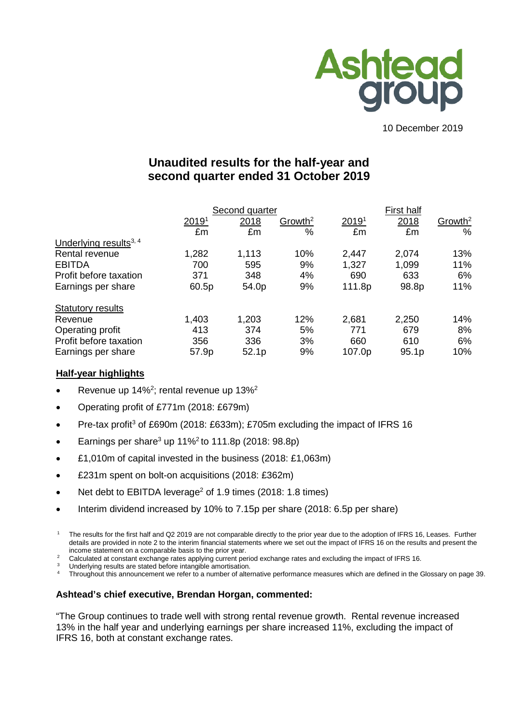

10 December 2019

# **Unaudited results for the half-year and second quarter ended 31 October 2019**

|                                    |                   | Second quarter |                     |        | <b>First half</b> |                     |  |
|------------------------------------|-------------------|----------------|---------------------|--------|-------------------|---------------------|--|
|                                    | 2019 <sup>1</sup> | 2018           | Growth <sup>2</sup> | 20191  | 2018              | Growth <sup>2</sup> |  |
|                                    | £m                | £m             | $\%$                | £m     | £m                | %                   |  |
| Underlying results <sup>3, 4</sup> |                   |                |                     |        |                   |                     |  |
| Rental revenue                     | 1,282             | 1,113          | 10%                 | 2,447  | 2,074             | 13%                 |  |
| <b>EBITDA</b>                      | 700               | 595            | 9%                  | 1,327  | 1,099             | 11%                 |  |
| Profit before taxation             | 371               | 348            | 4%                  | 690    | 633               | 6%                  |  |
| Earnings per share                 | 60.5p             | 54.0p          | 9%                  | 111.8p | 98.8p             | 11%                 |  |
| <b>Statutory results</b>           |                   |                |                     |        |                   |                     |  |
| Revenue                            | 1,403             | 1,203          | 12%                 | 2,681  | 2,250             | 14%                 |  |
| Operating profit                   | 413               | 374            | 5%                  | 771    | 679               | 8%                  |  |
| Profit before taxation             | 356               | 336            | 3%                  | 660    | 610               | 6%                  |  |
| Earnings per share                 | 57.9p             | 52.1p          | 9%                  | 107.0p | 95.1p             | 10%                 |  |

### **Half-year highlights**

- Revenue up 14%<sup>2</sup>; rental revenue up 13%<sup>2</sup>
- Operating profit of £771m (2018: £679m)
- Pre-tax profit<sup>3</sup> of £690m (2018: £633m); £705m excluding the impact of IFRS 16
- Earnings per share<sup>3</sup> up  $11\%^2$  to  $111.8$ p (2018: 98.8p)
- £1,010m of capital invested in the business (2018: £1,063m)
- £231m spent on bolt-on acquisitions (2018: £362m)
- Net debt to EBITDA leverage<sup>2</sup> of 1.9 times (2018: 1.8 times)
- Interim dividend increased by 10% to 7.15p per share (2018: 6.5p per share)

- <sup>2</sup> Calculated at constant exchange rates applying current period exchange rates and excluding the impact of IFRS 16.
- Underlying results are stated before intangible amortisation.
- <sup>4</sup> Throughout this announcement we refer to a number of alternative performance measures which are defined in the Glossary on page 39.

### **Ashtead's chief executive, Brendan Horgan, commented:**

"The Group continues to trade well with strong rental revenue growth. Rental revenue increased 13% in the half year and underlying earnings per share increased 11%, excluding the impact of IFRS 16, both at constant exchange rates.

The results for the first half and Q2 2019 are not comparable directly to the prior year due to the adoption of IFRS 16, Leases. Further details are provided in note 2 to the interim financial statements where we set out the impact of IFRS 16 on the results and present the income statement on a comparable basis to the prior year.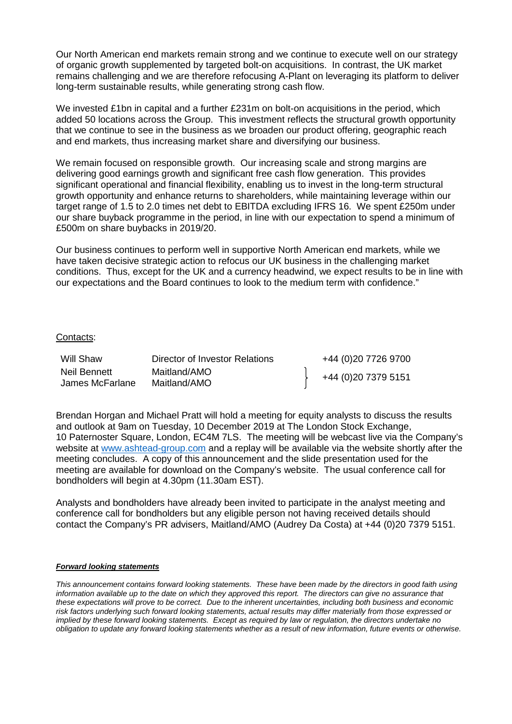Our North American end markets remain strong and we continue to execute well on our strategy of organic growth supplemented by targeted bolt-on acquisitions. In contrast, the UK market remains challenging and we are therefore refocusing A-Plant on leveraging its platform to deliver long-term sustainable results, while generating strong cash flow.

We invested £1bn in capital and a further  $£231m$  on bolt-on acquisitions in the period, which added 50 locations across the Group. This investment reflects the structural growth opportunity that we continue to see in the business as we broaden our product offering, geographic reach and end markets, thus increasing market share and diversifying our business.

We remain focused on responsible growth. Our increasing scale and strong margins are delivering good earnings growth and significant free cash flow generation. This provides significant operational and financial flexibility, enabling us to invest in the long-term structural growth opportunity and enhance returns to shareholders, while maintaining leverage within our target range of 1.5 to 2.0 times net debt to EBITDA excluding IFRS 16. We spent £250m under our share buyback programme in the period, in line with our expectation to spend a minimum of £500m on share buybacks in 2019/20.

Our business continues to perform well in supportive North American end markets, while we have taken decisive strategic action to refocus our UK business in the challenging market conditions. Thus, except for the UK and a currency headwind, we expect results to be in line with our expectations and the Board continues to look to the medium term with confidence."

#### Contacts:

| Will Shaw                       | Director of Investor Relations | +44 (0)20 7726 9700 |
|---------------------------------|--------------------------------|---------------------|
| Neil Bennett<br>James McFarlane | Maitland/AMO<br>Maitland/AMO   | +44 (0)20 7379 5151 |

Brendan Horgan and Michael Pratt will hold a meeting for equity analysts to discuss the results and outlook at 9am on Tuesday, 10 December 2019 at The London Stock Exchange, 10 Paternoster Square, London, EC4M 7LS. The meeting will be webcast live via the Company's website at [www.ashtead-group.com](http://www.ashtead-group.com/) and a replay will be available via the website shortly after the meeting concludes. A copy of this announcement and the slide presentation used for the meeting are available for download on the Company's website. The usual conference call for bondholders will begin at 4.30pm (11.30am EST).

Analysts and bondholders have already been invited to participate in the analyst meeting and conference call for bondholders but any eligible person not having received details should contact the Company's PR advisers, Maitland/AMO (Audrey Da Costa) at +44 (0)20 7379 5151.

#### *Forward looking statements*

*This announcement contains forward looking statements. These have been made by the directors in good faith using information available up to the date on which they approved this report. The directors can give no assurance that these expectations will prove to be correct. Due to the inherent uncertainties, including both business and economic risk factors underlying such forward looking statements, actual results may differ materially from those expressed or implied by these forward looking statements. Except as required by law or regulation, the directors undertake no obligation to update any forward looking statements whether as a result of new information, future events or otherwise.*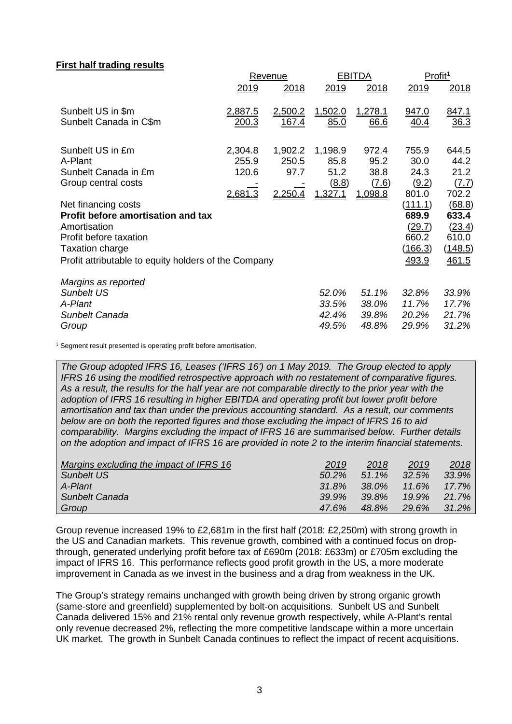### **First half trading results**

|                                                      | Revenue       |         | <b>EBITDA</b> |              | Profit <sup>1</sup> |         |
|------------------------------------------------------|---------------|---------|---------------|--------------|---------------------|---------|
|                                                      | 2019          | 2018    | 2019          | 2018         | 2019                | 2018    |
| Sunbelt US in \$m                                    | 2,887.5       | 2,500.2 | 1,502.0       | 1,278.1      | 947.0               | 847.1   |
| Sunbelt Canada in C\$m                               | <u> 200.3</u> | 167.4   | 85.0          | 66.6         | 40.4                | 36.3    |
| Sunbelt US in £m                                     | 2,304.8       | 1,902.2 | 1,198.9       | 972.4        | 755.9               | 644.5   |
| A-Plant                                              | 255.9         | 250.5   | 85.8          | 95.2         | 30.0                | 44.2    |
| Sunbelt Canada in £m                                 | 120.6         | 97.7    | 51.2          | 38.8         | 24.3                | 21.2    |
| Group central costs                                  |               |         | (8.8)         | <u>(7.6)</u> | (9.2)               | (7.7)   |
|                                                      | 2,681.3       | 2,250.4 | 1,327.1       | 1.098.8      | 801.0               | 702.2   |
| Net financing costs                                  |               |         |               |              | (111.1)             | (68.8)  |
| Profit before amortisation and tax                   |               |         |               |              | 689.9               | 633.4   |
| Amortisation                                         |               |         |               |              | (29.7)              | (23.4)  |
| Profit before taxation                               |               |         |               |              | 660.2               | 610.0   |
| Taxation charge                                      |               |         |               |              | (166.3)             | (148.5) |
| Profit attributable to equity holders of the Company |               |         |               |              | 493.9               | 461.5   |
| <b>Margins as reported</b>                           |               |         |               |              |                     |         |
| <b>Sunbelt US</b>                                    |               |         | 52.0%         | 51.1%        | 32.8%               | 33.9%   |
| A-Plant                                              |               |         | 33.5%         | 38.0%        | 11.7%               | 17.7%   |
| Sunbelt Canada                                       |               |         | 42.4%         | 39.8%        | 20.2%               | 21.7%   |
| Group                                                |               |         | 49.5%         | 48.8%        | 29.9%               | 31.2%   |

<sup>1</sup> Segment result presented is operating profit before amortisation.

*The Group adopted IFRS 16, Leases ('IFRS 16') on 1 May 2019. The Group elected to apply IFRS 16 using the modified retrospective approach with no restatement of comparative figures. As a result, the results for the half year are not comparable directly to the prior year with the adoption of IFRS 16 resulting in higher EBITDA and operating profit but lower profit before amortisation and tax than under the previous accounting standard. As a result, our comments below are on both the reported figures and those excluding the impact of IFRS 16 to aid comparability. Margins excluding the impact of IFRS 16 are summarised below. Further details on the adoption and impact of IFRS 16 are provided in note 2 to the interim financial statements.*

| Margins excluding the impact of IFRS 16 | 2019      | 2018  | 2019     | 2018     |
|-----------------------------------------|-----------|-------|----------|----------|
| Sunbelt US                              | $50.2\%$  | 51.1% | 32.5%    | 33.9%    |
| A-Plant                                 | 31.8%     | 38.0% | $11.6\%$ | $17.7\%$ |
| Sunbelt Canada                          | $.39.9\%$ | 39.8% | 19.9%    | 21.7%    |
| Group                                   | 47.6%     | 48.8% | 29.6%    | $31.2\%$ |

Group revenue increased 19% to £2,681m in the first half (2018: £2,250m) with strong growth in the US and Canadian markets. This revenue growth, combined with a continued focus on dropthrough, generated underlying profit before tax of £690m (2018: £633m) or £705m excluding the impact of IFRS 16. This performance reflects good profit growth in the US, a more moderate improvement in Canada as we invest in the business and a drag from weakness in the UK.

The Group's strategy remains unchanged with growth being driven by strong organic growth (same-store and greenfield) supplemented by bolt-on acquisitions. Sunbelt US and Sunbelt Canada delivered 15% and 21% rental only revenue growth respectively, while A-Plant's rental only revenue decreased 2%, reflecting the more competitive landscape within a more uncertain UK market. The growth in Sunbelt Canada continues to reflect the impact of recent acquisitions.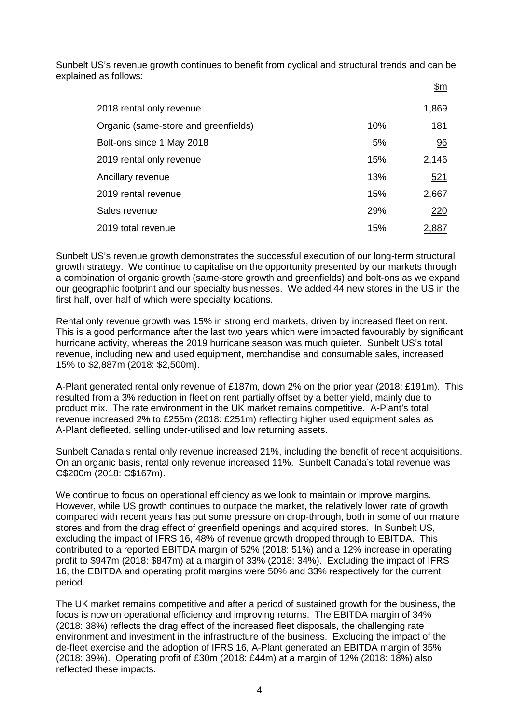Sunbelt US's revenue growth continues to benefit from cyclical and structural trends and can be explained as follows:  $\mathfrak{m}$ 

|                                      |     | <u> יי יש</u> |
|--------------------------------------|-----|---------------|
| 2018 rental only revenue             |     | 1,869         |
| Organic (same-store and greenfields) | 10% | 181           |
| Bolt-ons since 1 May 2018            | 5%  | 96            |
| 2019 rental only revenue             | 15% | 2,146         |
| Ancillary revenue                    | 13% | 521           |
| 2019 rental revenue                  | 15% | 2,667         |
| Sales revenue                        | 29% | 220           |
| 2019 total revenue                   | 15% | <u>,881</u>   |

Sunbelt US's revenue growth demonstrates the successful execution of our long-term structural growth strategy. We continue to capitalise on the opportunity presented by our markets through a combination of organic growth (same-store growth and greenfields) and bolt-ons as we expand our geographic footprint and our specialty businesses. We added 44 new stores in the US in the first half, over half of which were specialty locations.

Rental only revenue growth was 15% in strong end markets, driven by increased fleet on rent. This is a good performance after the last two years which were impacted favourably by significant hurricane activity, whereas the 2019 hurricane season was much quieter. Sunbelt US's total revenue, including new and used equipment, merchandise and consumable sales, increased 15% to \$2,887m (2018: \$2,500m).

A-Plant generated rental only revenue of £187m, down 2% on the prior year (2018: £191m). This resulted from a 3% reduction in fleet on rent partially offset by a better yield, mainly due to product mix. The rate environment in the UK market remains competitive. A-Plant's total revenue increased 2% to £256m (2018: £251m) reflecting higher used equipment sales as A-Plant defleeted, selling under-utilised and low returning assets.

Sunbelt Canada's rental only revenue increased 21%, including the benefit of recent acquisitions. On an organic basis, rental only revenue increased 11%. Sunbelt Canada's total revenue was C\$200m (2018: C\$167m).

We continue to focus on operational efficiency as we look to maintain or improve margins. However, while US growth continues to outpace the market, the relatively lower rate of growth compared with recent years has put some pressure on drop-through, both in some of our mature stores and from the drag effect of greenfield openings and acquired stores. In Sunbelt US, excluding the impact of IFRS 16, 48% of revenue growth dropped through to EBITDA. This contributed to a reported EBITDA margin of 52% (2018: 51%) and a 12% increase in operating profit to \$947m (2018: \$847m) at a margin of 33% (2018: 34%). Excluding the impact of IFRS 16, the EBITDA and operating profit margins were 50% and 33% respectively for the current period.

The UK market remains competitive and after a period of sustained growth for the business, the focus is now on operational efficiency and improving returns. The EBITDA margin of 34% (2018: 38%) reflects the drag effect of the increased fleet disposals, the challenging rate environment and investment in the infrastructure of the business. Excluding the impact of the de-fleet exercise and the adoption of IFRS 16, A-Plant generated an EBITDA margin of 35% (2018: 39%). Operating profit of £30m (2018: £44m) at a margin of 12% (2018: 18%) also reflected these impacts.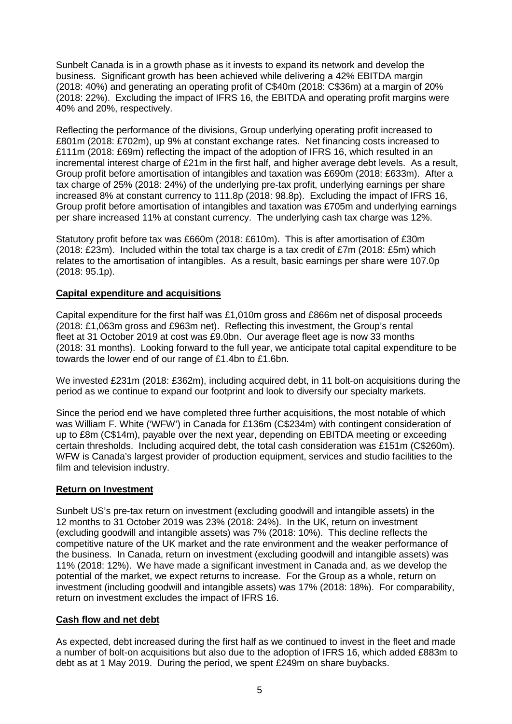Sunbelt Canada is in a growth phase as it invests to expand its network and develop the business. Significant growth has been achieved while delivering a 42% EBITDA margin (2018: 40%) and generating an operating profit of C\$40m (2018: C\$36m) at a margin of 20% (2018: 22%). Excluding the impact of IFRS 16, the EBITDA and operating profit margins were 40% and 20%, respectively.

Reflecting the performance of the divisions, Group underlying operating profit increased to £801m (2018: £702m), up 9% at constant exchange rates. Net financing costs increased to £111m (2018: £69m) reflecting the impact of the adoption of IFRS 16, which resulted in an incremental interest charge of £21m in the first half, and higher average debt levels. As a result, Group profit before amortisation of intangibles and taxation was £690m (2018: £633m). After a tax charge of 25% (2018: 24%) of the underlying pre-tax profit, underlying earnings per share increased 8% at constant currency to 111.8p (2018: 98.8p). Excluding the impact of IFRS 16, Group profit before amortisation of intangibles and taxation was £705m and underlying earnings per share increased 11% at constant currency. The underlying cash tax charge was 12%.

Statutory profit before tax was £660m (2018: £610m). This is after amortisation of £30m (2018: £23m). Included within the total tax charge is a tax credit of £7m (2018: £5m) which relates to the amortisation of intangibles. As a result, basic earnings per share were 107.0p (2018: 95.1p).

### **Capital expenditure and acquisitions**

Capital expenditure for the first half was £1,010m gross and £866m net of disposal proceeds (2018: £1,063m gross and £963m net). Reflecting this investment, the Group's rental fleet at 31 October 2019 at cost was £9.0bn. Our average fleet age is now 33 months (2018: 31 months). Looking forward to the full year, we anticipate total capital expenditure to be towards the lower end of our range of £1.4bn to £1.6bn.

We invested £231m (2018: £362m), including acquired debt, in 11 bolt-on acquisitions during the period as we continue to expand our footprint and look to diversify our specialty markets.

Since the period end we have completed three further acquisitions, the most notable of which was William F. White ('WFW') in Canada for £136m (C\$234m) with contingent consideration of up to £8m (C\$14m), payable over the next year, depending on EBITDA meeting or exceeding certain thresholds. Including acquired debt, the total cash consideration was £151m (C\$260m). WFW is Canada's largest provider of production equipment, services and studio facilities to the film and television industry.

### **Return on Investment**

Sunbelt US's pre-tax return on investment (excluding goodwill and intangible assets) in the 12 months to 31 October 2019 was 23% (2018: 24%). In the UK, return on investment (excluding goodwill and intangible assets) was 7% (2018: 10%). This decline reflects the competitive nature of the UK market and the rate environment and the weaker performance of the business. In Canada, return on investment (excluding goodwill and intangible assets) was 11% (2018: 12%). We have made a significant investment in Canada and, as we develop the potential of the market, we expect returns to increase. For the Group as a whole, return on investment (including goodwill and intangible assets) was 17% (2018: 18%). For comparability, return on investment excludes the impact of IFRS 16.

### **Cash flow and net debt**

As expected, debt increased during the first half as we continued to invest in the fleet and made a number of bolt-on acquisitions but also due to the adoption of IFRS 16, which added £883m to debt as at 1 May 2019. During the period, we spent £249m on share buybacks.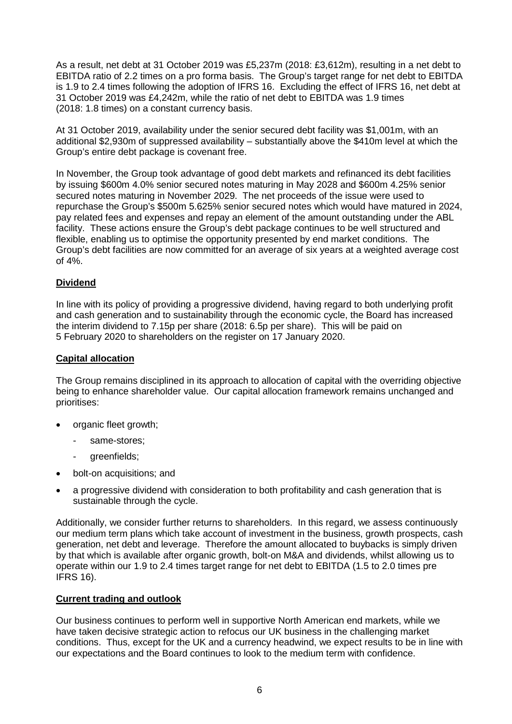As a result, net debt at 31 October 2019 was £5,237m (2018: £3,612m), resulting in a net debt to EBITDA ratio of 2.2 times on a pro forma basis. The Group's target range for net debt to EBITDA is 1.9 to 2.4 times following the adoption of IFRS 16. Excluding the effect of IFRS 16, net debt at 31 October 2019 was £4,242m, while the ratio of net debt to EBITDA was 1.9 times (2018: 1.8 times) on a constant currency basis.

At 31 October 2019, availability under the senior secured debt facility was \$1,001m, with an additional \$2,930m of suppressed availability – substantially above the \$410m level at which the Group's entire debt package is covenant free.

In November, the Group took advantage of good debt markets and refinanced its debt facilities by issuing \$600m 4.0% senior secured notes maturing in May 2028 and \$600m 4.25% senior secured notes maturing in November 2029. The net proceeds of the issue were used to repurchase the Group's \$500m 5.625% senior secured notes which would have matured in 2024, pay related fees and expenses and repay an element of the amount outstanding under the ABL facility. These actions ensure the Group's debt package continues to be well structured and flexible, enabling us to optimise the opportunity presented by end market conditions. The Group's debt facilities are now committed for an average of six years at a weighted average cost of 4%.

# **Dividend**

In line with its policy of providing a progressive dividend, having regard to both underlying profit and cash generation and to sustainability through the economic cycle, the Board has increased the interim dividend to 7.15p per share (2018: 6.5p per share). This will be paid on 5 February 2020 to shareholders on the register on 17 January 2020.

## **Capital allocation**

The Group remains disciplined in its approach to allocation of capital with the overriding objective being to enhance shareholder value. Our capital allocation framework remains unchanged and prioritises:

- organic fleet growth;
	- same-stores;
	- qreenfields;
- bolt-on acquisitions; and
- a progressive dividend with consideration to both profitability and cash generation that is sustainable through the cycle.

Additionally, we consider further returns to shareholders. In this regard, we assess continuously our medium term plans which take account of investment in the business, growth prospects, cash generation, net debt and leverage. Therefore the amount allocated to buybacks is simply driven by that which is available after organic growth, bolt-on M&A and dividends, whilst allowing us to operate within our 1.9 to 2.4 times target range for net debt to EBITDA (1.5 to 2.0 times pre IFRS 16).

### **Current trading and outlook**

Our business continues to perform well in supportive North American end markets, while we have taken decisive strategic action to refocus our UK business in the challenging market conditions. Thus, except for the UK and a currency headwind, we expect results to be in line with our expectations and the Board continues to look to the medium term with confidence.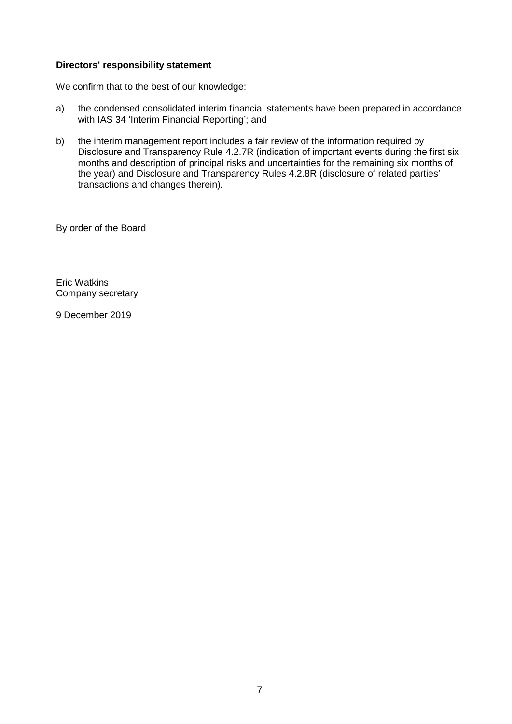## **Directors' responsibility statement**

We confirm that to the best of our knowledge:

- a) the condensed consolidated interim financial statements have been prepared in accordance with IAS 34 'Interim Financial Reporting'; and
- b) the interim management report includes a fair review of the information required by Disclosure and Transparency Rule 4.2.7R (indication of important events during the first six months and description of principal risks and uncertainties for the remaining six months of the year) and Disclosure and Transparency Rules 4.2.8R (disclosure of related parties' transactions and changes therein).

By order of the Board

Eric Watkins Company secretary

9 December 2019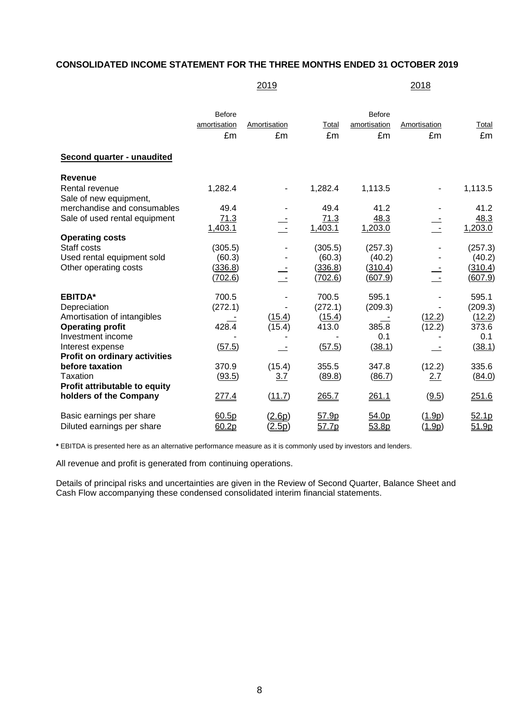# **CONSOLIDATED INCOME STATEMENT FOR THE THREE MONTHS ENDED 31 OCTOBER 2019**

2019 2018

|                                                         | <b>Before</b><br>amortisation<br>£m | Amortisation<br>£m | Total<br>£m        | <b>Before</b><br>amortisation<br>£m | Amortisation<br>£m       | Total<br>£m        |
|---------------------------------------------------------|-------------------------------------|--------------------|--------------------|-------------------------------------|--------------------------|--------------------|
| Second quarter - unaudited                              |                                     |                    |                    |                                     |                          |                    |
| <b>Revenue</b>                                          |                                     |                    |                    |                                     |                          |                    |
| Rental revenue<br>Sale of new equipment,                | 1,282.4                             |                    | 1,282.4            | 1,113.5                             |                          | 1,113.5            |
| merchandise and consumables                             | 49.4                                |                    | 49.4               | 41.2                                |                          | 41.2               |
| Sale of used rental equipment                           | 71.3<br>1,403.1                     |                    | 71.3<br>1,403.1    | 48.3<br>1,203.0                     | $\overline{\phantom{a}}$ | 48.3<br>1,203.0    |
| <b>Operating costs</b>                                  |                                     |                    |                    |                                     |                          |                    |
| Staff costs                                             | (305.5)                             |                    | (305.5)            | (257.3)                             |                          | (257.3)            |
| Used rental equipment sold                              | (60.3)                              |                    | (60.3)             | (40.2)                              |                          | (40.2)             |
| Other operating costs                                   | <u>(336.8)</u><br>(702.6)           |                    | (336.8)<br>(702.6) | (310.4)<br>(607.9)                  |                          | (310.4)<br>(607.9) |
| <b>EBITDA*</b>                                          | 700.5                               |                    | 700.5              | 595.1                               |                          | 595.1              |
| Depreciation                                            | (272.1)                             |                    | (272.1)            | (209.3)                             |                          | (209.3)            |
| Amortisation of intangibles                             |                                     | (15.4)             | (15.4)             |                                     | (12.2)                   | (12.2)             |
| <b>Operating profit</b>                                 | 428.4                               | (15.4)             | 413.0              | 385.8                               | (12.2)                   | 373.6              |
| Investment income                                       |                                     |                    |                    | 0.1                                 |                          | 0.1                |
| Interest expense                                        | (57.5)                              |                    | (57.5)             | (38.1)                              |                          | (38.1)             |
| Profit on ordinary activities                           |                                     |                    |                    |                                     |                          |                    |
| before taxation                                         | 370.9                               | (15.4)             | 355.5              | 347.8                               | (12.2)                   | 335.6              |
| Taxation                                                | (93.5)                              | 3.7                | (89.8)             | (86.7)                              | 2.7                      | (84.0)             |
| Profit attributable to equity<br>holders of the Company | 277.4                               | (11.7)             | 265.7              | 261.1                               | (9.5)                    | 251.6              |
| Basic earnings per share                                | 60.5p                               | (2.6p)             | 57.9p              | 54.0p                               | (1.9p)                   | 52.1p              |
| Diluted earnings per share                              | 60.2 <sub>p</sub>                   | <u>(2.5p)</u>      | 57.7p              | 53.8p                               | (1.9p)                   | 51.9p              |

**\*** EBITDA is presented here as an alternative performance measure as it is commonly used by investors and lenders.

All revenue and profit is generated from continuing operations.

Details of principal risks and uncertainties are given in the Review of Second Quarter, Balance Sheet and Cash Flow accompanying these condensed consolidated interim financial statements.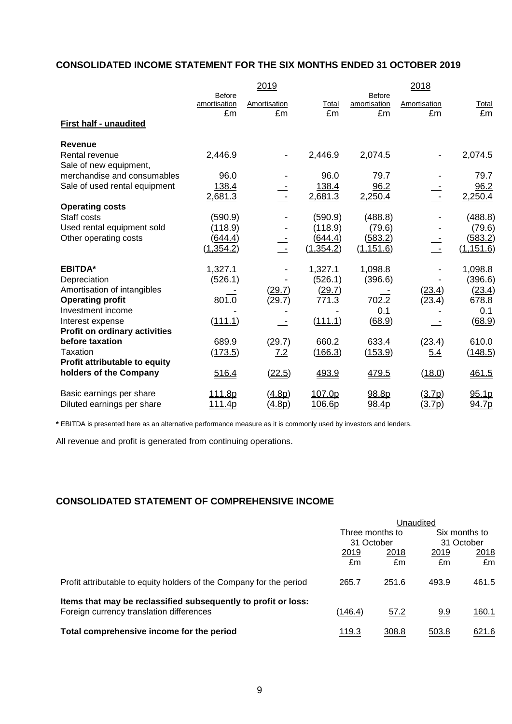# **CONSOLIDATED INCOME STATEMENT FOR THE SIX MONTHS ENDED 31 OCTOBER 2019**

|                                      |                               | 2019          |            |                               | 2018         |                   |
|--------------------------------------|-------------------------------|---------------|------------|-------------------------------|--------------|-------------------|
|                                      | <b>Before</b><br>amortisation | Amortisation  | Total      | <b>Before</b><br>amortisation | Amortisation | Total             |
|                                      | £m                            | £m            | £m         | £m                            | £m           | £m                |
| <b>First half - unaudited</b>        |                               |               |            |                               |              |                   |
| <b>Revenue</b>                       |                               |               |            |                               |              |                   |
| Rental revenue                       | 2,446.9                       |               | 2,446.9    | 2,074.5                       |              | 2,074.5           |
| Sale of new equipment,               |                               |               |            |                               |              |                   |
| merchandise and consumables          | 96.0                          |               | 96.0       | 79.7                          |              | 79.7              |
| Sale of used rental equipment        | 138.4                         |               | 138.4      | 96.2                          |              | 96.2              |
|                                      | 2,681.3                       |               | 2,681.3    | 2,250.4                       |              | 2,250.4           |
| <b>Operating costs</b>               |                               |               |            |                               |              |                   |
| Staff costs                          | (590.9)                       |               | (590.9)    | (488.8)                       |              | (488.8)           |
| Used rental equipment sold           | (118.9)                       |               | (118.9)    | (79.6)                        |              | (79.6)            |
| Other operating costs                | (644.4)                       |               | (644.4)    | (583.2)                       |              | (583.2)           |
|                                      | (1, 354.2)                    |               | (1, 354.2) | (1, 151.6)                    |              | (1, 151.6)        |
| <b>EBITDA*</b>                       | 1,327.1                       |               | 1,327.1    | 1,098.8                       |              | 1,098.8           |
| Depreciation                         | (526.1)                       |               | (526.1)    | (396.6)                       |              | (396.6)           |
| Amortisation of intangibles          |                               | (29.7)        | (29.7)     |                               | (23.4)       | (23.4)            |
| <b>Operating profit</b>              | 801.0                         | (29.7)        | 771.3      | 702.2                         | (23.4)       | 678.8             |
| Investment income                    |                               |               |            | 0.1                           |              | 0.1               |
| Interest expense                     | (111.1)                       |               | (111.1)    | (68.9)                        |              | (68.9)            |
| <b>Profit on ordinary activities</b> |                               |               |            |                               |              |                   |
| before taxation                      | 689.9                         | (29.7)        | 660.2      | 633.4                         | (23.4)       | 610.0             |
| Taxation                             | (173.5)                       | 7.2           | (166.3)    | (153.9)                       | 5.4          | (148.5)           |
| Profit attributable to equity        |                               |               |            |                               |              |                   |
| holders of the Company               | 516.4                         | (22.5)        | 493.9      | 479.5                         | (18.0)       | 461.5             |
| Basic earnings per share             | <u>111.8p</u>                 | (4.8p)        | 107.0p     | 98.8p                         | (3.7p)       | 95.1 <sub>p</sub> |
| Diluted earnings per share           | <u>111.4p</u>                 | <u>(4.8p)</u> | 106.6p     | 98.4p                         | (3.7p)       | 94.7p             |

**\*** EBITDA is presented here as an alternative performance measure as it is commonly used by investors and lenders.

All revenue and profit is generated from continuing operations.

# **CONSOLIDATED STATEMENT OF COMPREHENSIVE INCOME**

|                                                                     | Unaudited       |       |               |       |
|---------------------------------------------------------------------|-----------------|-------|---------------|-------|
|                                                                     | Three months to |       | Six months to |       |
|                                                                     | 31 October      |       | 31 October    |       |
|                                                                     | 2019            | 2018  | 2019          | 2018  |
|                                                                     | £m              | £m    | £m            | £m    |
| Profit attributable to equity holders of the Company for the period | 265.7           | 251.6 | 493.9         | 461.5 |
| Items that may be reclassified subsequently to profit or loss:      |                 |       |               |       |
| Foreign currency translation differences                            | (146.4)         | 57.2  | 9.9           | 160.1 |
| Total comprehensive income for the period                           | <u> 119.3</u>   | 308.8 | 503.8         | 621.6 |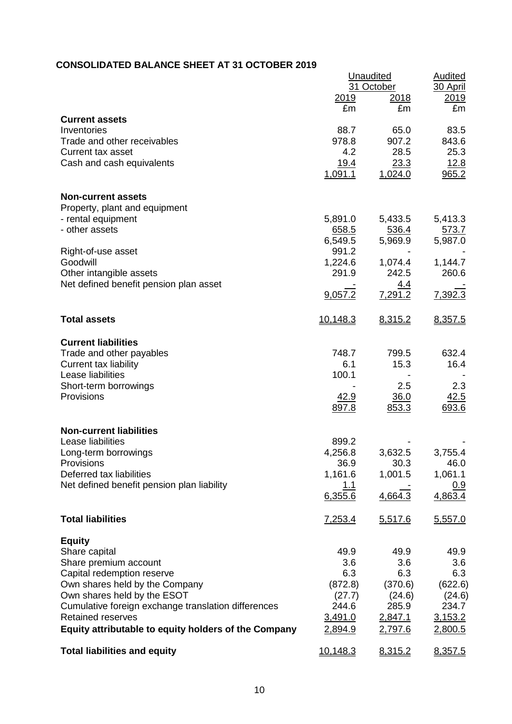# **CONSOLIDATED BALANCE SHEET AT 31 OCTOBER 2019**

|                                                                                    | <u>Unaudited</u> | <b>Audited</b><br>30 April  |                  |
|------------------------------------------------------------------------------------|------------------|-----------------------------|------------------|
|                                                                                    | 2019             | 31 October<br><u> 2018 </u> | 2019             |
|                                                                                    | £m               | £m                          | £m               |
| <b>Current assets</b>                                                              |                  |                             |                  |
| Inventories                                                                        | 88.7             | 65.0                        | 83.5             |
| Trade and other receivables                                                        | 978.8<br>4.2     | 907.2                       | 843.6            |
| <b>Current tax asset</b><br>Cash and cash equivalents                              | <u>19.4</u>      | 28.5<br>23.3                | 25.3<br>12.8     |
|                                                                                    | 1,091.1          | 1,024.0                     | 965.2            |
| <b>Non-current assets</b>                                                          |                  |                             |                  |
| Property, plant and equipment                                                      |                  |                             |                  |
| - rental equipment                                                                 | 5,891.0          | 5,433.5                     | 5,413.3          |
| - other assets                                                                     | 658.5            | 536.4                       | <u>573.7</u>     |
|                                                                                    | 6,549.5          | 5,969.9                     | 5,987.0          |
| Right-of-use asset                                                                 | 991.2            |                             |                  |
| Goodwill<br>Other intangible assets                                                | 1,224.6<br>291.9 | 1,074.4<br>242.5            | 1,144.7<br>260.6 |
| Net defined benefit pension plan asset                                             |                  | <u>4.4</u>                  |                  |
|                                                                                    | 9,057.2          | 7,291.2                     | 7,392.3          |
| <b>Total assets</b>                                                                | 10,148.3         | 8,315.2                     | 8,357.5          |
| <b>Current liabilities</b>                                                         |                  |                             |                  |
| Trade and other payables                                                           | 748.7            | 799.5                       | 632.4            |
| <b>Current tax liability</b>                                                       | 6.1              | 15.3                        | 16.4             |
| Lease liabilities                                                                  | 100.1            |                             |                  |
| Short-term borrowings                                                              |                  | 2.5                         | 2.3              |
| Provisions                                                                         | 42.9             | 36.0                        | 42.5             |
|                                                                                    | 897.8            | 853.3                       | 693.6            |
| <b>Non-current liabilities</b>                                                     |                  |                             |                  |
| Lease liabilities                                                                  | 899.2            |                             |                  |
| Long-term borrowings                                                               | 4,256.8          | 3,632.5                     | 3,755.4          |
| Provisions<br>Deferred tax liabilities                                             | 36.9<br>1,161.6  | 30.3<br>1,001.5             | 46.0<br>1,061.1  |
| Net defined benefit pension plan liability                                         | <u>1.1</u>       |                             | 0.9              |
|                                                                                    | 6,355.6          | 4,664.3                     | 4,863.4          |
| <b>Total liabilities</b>                                                           | <u>7,253.4</u>   | 5,517.6                     | 5,557.0          |
| <b>Equity</b>                                                                      |                  |                             |                  |
| Share capital                                                                      | 49.9             | 49.9                        | 49.9             |
| Share premium account                                                              | 3.6              | 3.6                         | 3.6              |
| Capital redemption reserve                                                         | 6.3              | 6.3                         | 6.3              |
| Own shares held by the Company                                                     | (872.8)          | (370.6)                     | (622.6)          |
| Own shares held by the ESOT<br>Cumulative foreign exchange translation differences | (27.7)<br>244.6  | (24.6)<br>285.9             | (24.6)<br>234.7  |
| <b>Retained reserves</b>                                                           | 3,491.0          | 2,847.1                     | 3,153.2          |
| Equity attributable to equity holders of the Company                               | 2,894.9          | 2,797.6                     | 2,800.5          |
| <b>Total liabilities and equity</b>                                                | 10,148.3         | 8,315.2                     | 8,357.5          |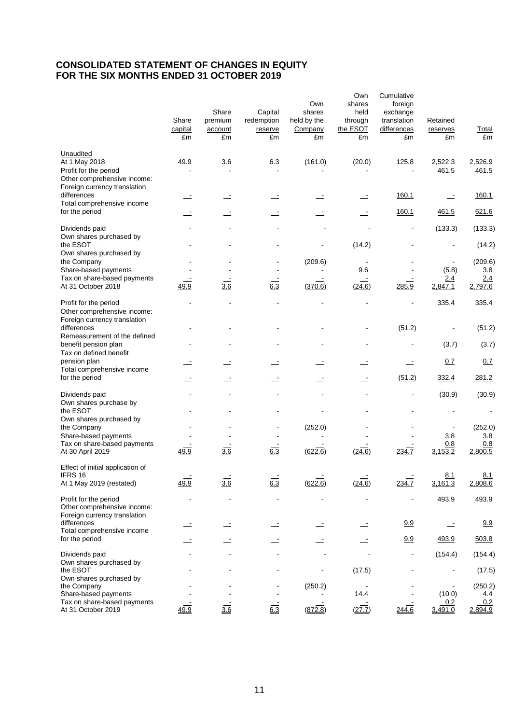# **CONSOLIDATED STATEMENT OF CHANGES IN EQUITY FOR THE SIX MONTHS ENDED 31 OCTOBER 2019**

|                                                                                                       | Share<br>capital<br>£m | Share<br>premium<br>account<br>£m | Capital<br>redemption<br>reserve<br>£m | Own<br>shares<br>held by the<br>Company<br>£m | Own<br>shares<br>held<br>through<br>the ESOT<br>£m | Cumulative<br>foreign<br>exchange<br>translation<br>differences<br>£m | Retained<br>reserves<br>£m | <b>Total</b><br>£m |
|-------------------------------------------------------------------------------------------------------|------------------------|-----------------------------------|----------------------------------------|-----------------------------------------------|----------------------------------------------------|-----------------------------------------------------------------------|----------------------------|--------------------|
| Unaudited                                                                                             |                        |                                   |                                        |                                               |                                                    |                                                                       |                            |                    |
| At 1 May 2018<br>Profit for the period<br>Other comprehensive income:<br>Foreign currency translation | 49.9                   | 3.6                               | 6.3                                    | (161.0)                                       | (20.0)                                             | 125.8                                                                 | 2,522.3<br>461.5           | 2,526.9<br>461.5   |
| differences<br>Total comprehensive income                                                             |                        |                                   |                                        |                                               |                                                    | 160.1                                                                 | $\equiv$                   | 160.1              |
| for the period                                                                                        |                        |                                   |                                        |                                               |                                                    | 160.1                                                                 | 461.5                      | 621.6              |
| Dividends paid<br>Own shares purchased by                                                             |                        |                                   |                                        |                                               |                                                    |                                                                       | (133.3)                    | (133.3)            |
| the ESOT<br>Own shares purchased by                                                                   |                        |                                   |                                        |                                               | (14.2)                                             |                                                                       |                            | (14.2)             |
| the Company<br>Share-based payments                                                                   |                        |                                   |                                        | (209.6)                                       | 9.6                                                |                                                                       | (5.8)                      | (209.6)<br>3.8     |
| Tax on share-based payments                                                                           |                        |                                   |                                        |                                               |                                                    |                                                                       | 2.4                        | 2.4                |
| At 31 October 2018                                                                                    | 49.9                   | 3.6                               | 6.3                                    | (370.6)                                       | (24.6)                                             | 285.9                                                                 | 2,847.1                    | 2,797.6            |
| Profit for the period<br>Other comprehensive income:                                                  |                        |                                   |                                        | $\blacksquare$                                |                                                    |                                                                       | 335.4                      | 335.4              |
| Foreign currency translation<br>differences                                                           |                        |                                   |                                        |                                               |                                                    | (51.2)                                                                | $\blacksquare$             | (51.2)             |
| Remeasurement of the defined<br>benefit pension plan<br>Tax on defined benefit                        |                        |                                   |                                        |                                               |                                                    |                                                                       | (3.7)                      | (3.7)              |
| pension plan<br>Total comprehensive income                                                            |                        |                                   |                                        |                                               |                                                    | Ξ                                                                     | 0.7                        | 0.7                |
| for the period                                                                                        |                        |                                   |                                        |                                               |                                                    | (51.2)                                                                | 332.4                      | 281.2              |
| Dividends paid<br>Own shares purchase by                                                              |                        |                                   |                                        |                                               |                                                    |                                                                       | (30.9)                     | (30.9)             |
| the ESOT                                                                                              |                        |                                   |                                        |                                               |                                                    |                                                                       |                            |                    |
| Own shares purchased by<br>the Company                                                                |                        |                                   |                                        | (252.0)                                       |                                                    |                                                                       |                            | (252.0)            |
| Share-based payments                                                                                  |                        |                                   |                                        |                                               |                                                    |                                                                       | 3.8                        | 3.8                |
| Tax on share-based payments<br>At 30 April 2019                                                       | 49.9                   | 3.6                               | 6.3                                    | (622.6)                                       | (24.6)                                             | 234.7                                                                 | 0.8<br>3,153.2             | 0.8<br>2,800.5     |
| Effect of initial application of<br>IFRS 16                                                           |                        |                                   |                                        |                                               |                                                    |                                                                       | 8.1                        | 8.1                |
| At 1 May 2019 (restated)                                                                              | 49.9                   | 3.6                               | 6.3                                    | (622.6)                                       | (24.6)                                             | 234.7                                                                 | 3,161.3                    | 2,808.6            |
| Profit for the period<br>Other comprehensive income:<br>Foreign currency translation                  |                        |                                   |                                        |                                               |                                                    |                                                                       | 493.9                      | 493.9              |
| differences<br>Total comprehensive income                                                             |                        |                                   |                                        |                                               |                                                    | 9.9                                                                   | $\equiv$                   | 9.9                |
| for the period                                                                                        |                        |                                   | $\equiv$                               |                                               |                                                    | 9.9                                                                   | 493.9                      | 503.8              |
| Dividends paid<br>Own shares purchased by                                                             |                        |                                   |                                        |                                               |                                                    | $\blacksquare$                                                        | (154.4)                    | (154.4)            |
| the ESOT<br>Own shares purchased by                                                                   |                        |                                   |                                        |                                               | (17.5)                                             |                                                                       |                            | (17.5)             |
| the Company                                                                                           |                        |                                   |                                        | (250.2)                                       |                                                    |                                                                       |                            | (250.2)            |
| Share-based payments                                                                                  |                        |                                   |                                        |                                               | 14.4                                               |                                                                       | (10.0)                     | 4.4                |
| Tax on share-based payments<br>At 31 October 2019                                                     | 49.9                   | 36                                | 6.3                                    | (872.8)                                       | (27.7)                                             | 244.6                                                                 | 0.2<br>3,491.0             | 0.2<br>2,894.9     |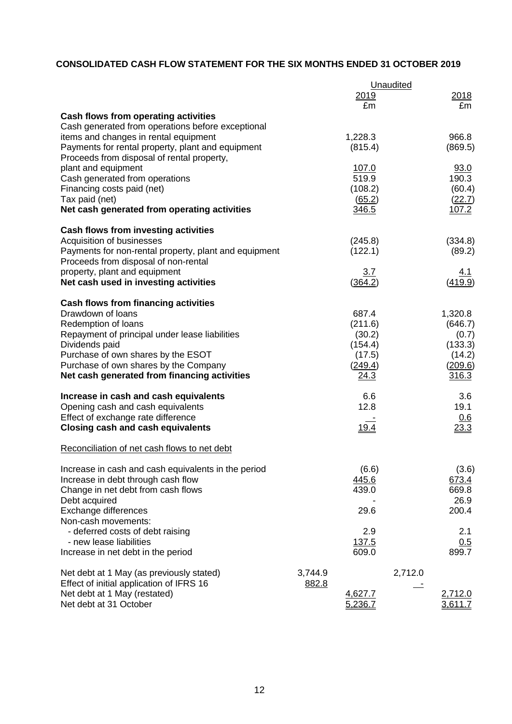# **CONSOLIDATED CASH FLOW STATEMENT FOR THE SIX MONTHS ENDED 31 OCTOBER 2019**

|                                                       | Unaudited    |            |  |  |
|-------------------------------------------------------|--------------|------------|--|--|
|                                                       | 2019         | 2018       |  |  |
|                                                       | £m           | £m         |  |  |
| <b>Cash flows from operating activities</b>           |              |            |  |  |
| Cash generated from operations before exceptional     |              |            |  |  |
| items and changes in rental equipment                 | 1,228.3      | 966.8      |  |  |
| Payments for rental property, plant and equipment     | (815.4)      | (869.5)    |  |  |
| Proceeds from disposal of rental property,            |              |            |  |  |
| plant and equipment                                   | 107.0        | 93.0       |  |  |
| Cash generated from operations                        | 519.9        | 190.3      |  |  |
| Financing costs paid (net)                            | (108.2)      | (60.4)     |  |  |
| Tax paid (net)                                        | (65.2)       | (22.7)     |  |  |
| Net cash generated from operating activities          | 346.5        | 107.2      |  |  |
| Cash flows from investing activities                  |              |            |  |  |
| Acquisition of businesses                             | (245.8)      | (334.8)    |  |  |
| Payments for non-rental property, plant and equipment | (122.1)      | (89.2)     |  |  |
| Proceeds from disposal of non-rental                  |              |            |  |  |
| property, plant and equipment                         | 3.7          | <u>4.1</u> |  |  |
| Net cash used in investing activities                 | (364.2)      | (419.9)    |  |  |
|                                                       |              |            |  |  |
| Cash flows from financing activities                  |              |            |  |  |
| Drawdown of loans                                     | 687.4        | 1,320.8    |  |  |
| Redemption of loans                                   | (211.6)      | (646.7)    |  |  |
| Repayment of principal under lease liabilities        | (30.2)       | (0.7)      |  |  |
| Dividends paid                                        | (154.4)      | (133.3)    |  |  |
| Purchase of own shares by the ESOT                    | (17.5)       | (14.2)     |  |  |
| Purchase of own shares by the Company                 | (249.4)      | (209.6)    |  |  |
| Net cash generated from financing activities          | 24.3         | 316.3      |  |  |
| Increase in cash and cash equivalents                 | 6.6          | 3.6        |  |  |
| Opening cash and cash equivalents                     | 12.8         | 19.1       |  |  |
| Effect of exchange rate difference                    |              | 0.6        |  |  |
| <b>Closing cash and cash equivalents</b>              | 19.4         | 23.3       |  |  |
| Reconciliation of net cash flows to net debt          |              |            |  |  |
|                                                       |              |            |  |  |
| Increase in cash and cash equivalents in the period   | (6.6)        | (3.6)      |  |  |
| Increase in debt through cash flow                    | <u>445.6</u> | 673.4      |  |  |
| Change in net debt from cash flows                    | 439.0        | 669.8      |  |  |
| Debt acquired                                         |              | 26.9       |  |  |
| Exchange differences                                  | 29.6         | 200.4      |  |  |
| Non-cash movements:                                   |              |            |  |  |
| - deferred costs of debt raising                      | 2.9          | 2.1        |  |  |
| - new lease liabilities                               | <u>137.5</u> | 0.5        |  |  |
| Increase in net debt in the period                    | 609.0        | 899.7      |  |  |
| Net debt at 1 May (as previously stated)              | 3,744.9      | 2,712.0    |  |  |
|                                                       |              |            |  |  |
| Effect of initial application of IFRS 16              | 882.8        |            |  |  |
| Net debt at 1 May (restated)                          | 4,627.7      | 2,712.0    |  |  |
| Net debt at 31 October                                | 5,236.7      | 3,611.7    |  |  |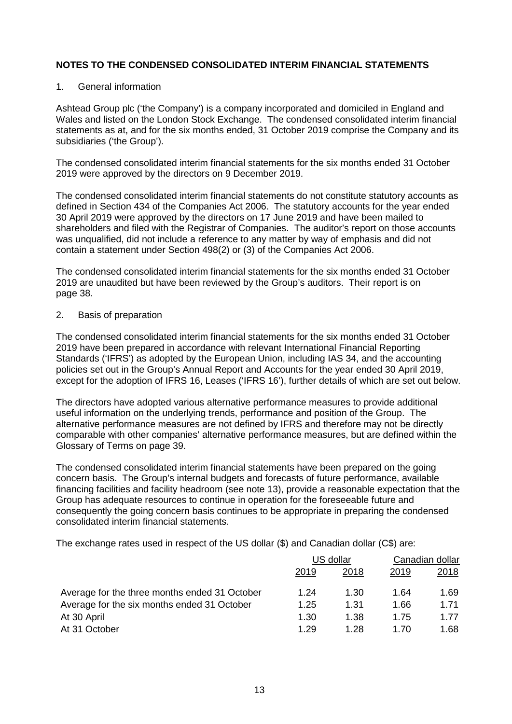#### 1. General information

Ashtead Group plc ('the Company') is a company incorporated and domiciled in England and Wales and listed on the London Stock Exchange. The condensed consolidated interim financial statements as at, and for the six months ended, 31 October 2019 comprise the Company and its subsidiaries ('the Group').

The condensed consolidated interim financial statements for the six months ended 31 October 2019 were approved by the directors on 9 December 2019.

The condensed consolidated interim financial statements do not constitute statutory accounts as defined in Section 434 of the Companies Act 2006. The statutory accounts for the year ended 30 April 2019 were approved by the directors on 17 June 2019 and have been mailed to shareholders and filed with the Registrar of Companies. The auditor's report on those accounts was unqualified, did not include a reference to any matter by way of emphasis and did not contain a statement under Section 498(2) or (3) of the Companies Act 2006.

The condensed consolidated interim financial statements for the six months ended 31 October 2019 are unaudited but have been reviewed by the Group's auditors. Their report is on page 38.

### 2. Basis of preparation

The condensed consolidated interim financial statements for the six months ended 31 October 2019 have been prepared in accordance with relevant International Financial Reporting Standards ('IFRS') as adopted by the European Union, including IAS 34, and the accounting policies set out in the Group's Annual Report and Accounts for the year ended 30 April 2019, except for the adoption of IFRS 16, Leases ('IFRS 16'), further details of which are set out below.

The directors have adopted various alternative performance measures to provide additional useful information on the underlying trends, performance and position of the Group. The alternative performance measures are not defined by IFRS and therefore may not be directly comparable with other companies' alternative performance measures, but are defined within the Glossary of Terms on page 39.

The condensed consolidated interim financial statements have been prepared on the going concern basis. The Group's internal budgets and forecasts of future performance, available financing facilities and facility headroom (see note 13), provide a reasonable expectation that the Group has adequate resources to continue in operation for the foreseeable future and consequently the going concern basis continues to be appropriate in preparing the condensed consolidated interim financial statements.

The exchange rates used in respect of the US dollar (\$) and Canadian dollar (C\$) are:

|                                               | US dollar |      | Canadian dollar |      |
|-----------------------------------------------|-----------|------|-----------------|------|
|                                               | 2019      | 2018 | 2019            | 2018 |
| Average for the three months ended 31 October | 1.24      | 1.30 | 1.64            | 1.69 |
| Average for the six months ended 31 October   | 1.25      | 1.31 | 1.66            | 1.71 |
| At 30 April                                   | 1.30      | 1.38 | 1.75            | 1.77 |
| At 31 October                                 | 1.29      | 1.28 | 1.70            | 1.68 |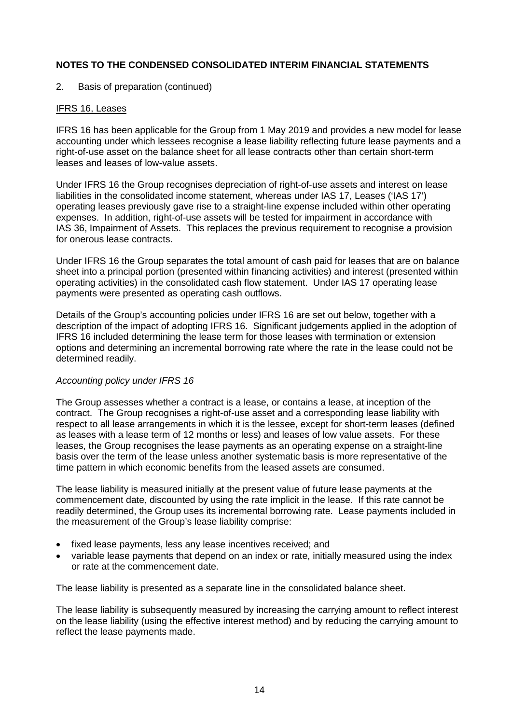# 2. Basis of preparation (continued)

## IFRS 16, Leases

IFRS 16 has been applicable for the Group from 1 May 2019 and provides a new model for lease accounting under which lessees recognise a lease liability reflecting future lease payments and a right-of-use asset on the balance sheet for all lease contracts other than certain short-term leases and leases of low-value assets.

Under IFRS 16 the Group recognises depreciation of right-of-use assets and interest on lease liabilities in the consolidated income statement, whereas under IAS 17, Leases ('IAS 17') operating leases previously gave rise to a straight-line expense included within other operating expenses. In addition, right-of-use assets will be tested for impairment in accordance with IAS 36, Impairment of Assets. This replaces the previous requirement to recognise a provision for onerous lease contracts.

Under IFRS 16 the Group separates the total amount of cash paid for leases that are on balance sheet into a principal portion (presented within financing activities) and interest (presented within operating activities) in the consolidated cash flow statement. Under IAS 17 operating lease payments were presented as operating cash outflows.

Details of the Group's accounting policies under IFRS 16 are set out below, together with a description of the impact of adopting IFRS 16. Significant judgements applied in the adoption of IFRS 16 included determining the lease term for those leases with termination or extension options and determining an incremental borrowing rate where the rate in the lease could not be determined readily.

### *Accounting policy under IFRS 16*

The Group assesses whether a contract is a lease, or contains a lease, at inception of the contract. The Group recognises a right-of-use asset and a corresponding lease liability with respect to all lease arrangements in which it is the lessee, except for short-term leases (defined as leases with a lease term of 12 months or less) and leases of low value assets. For these leases, the Group recognises the lease payments as an operating expense on a straight-line basis over the term of the lease unless another systematic basis is more representative of the time pattern in which economic benefits from the leased assets are consumed.

The lease liability is measured initially at the present value of future lease payments at the commencement date, discounted by using the rate implicit in the lease. If this rate cannot be readily determined, the Group uses its incremental borrowing rate. Lease payments included in the measurement of the Group's lease liability comprise:

- fixed lease payments, less any lease incentives received; and
- variable lease payments that depend on an index or rate, initially measured using the index or rate at the commencement date.

The lease liability is presented as a separate line in the consolidated balance sheet.

The lease liability is subsequently measured by increasing the carrying amount to reflect interest on the lease liability (using the effective interest method) and by reducing the carrying amount to reflect the lease payments made.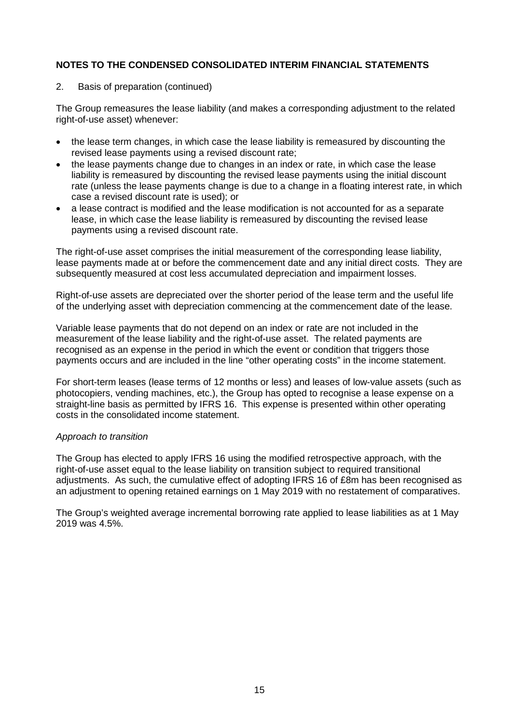2. Basis of preparation (continued)

The Group remeasures the lease liability (and makes a corresponding adjustment to the related right-of-use asset) whenever:

- the lease term changes, in which case the lease liability is remeasured by discounting the revised lease payments using a revised discount rate;
- the lease payments change due to changes in an index or rate, in which case the lease liability is remeasured by discounting the revised lease payments using the initial discount rate (unless the lease payments change is due to a change in a floating interest rate, in which case a revised discount rate is used); or
- a lease contract is modified and the lease modification is not accounted for as a separate lease, in which case the lease liability is remeasured by discounting the revised lease payments using a revised discount rate.

The right-of-use asset comprises the initial measurement of the corresponding lease liability, lease payments made at or before the commencement date and any initial direct costs. They are subsequently measured at cost less accumulated depreciation and impairment losses.

Right-of-use assets are depreciated over the shorter period of the lease term and the useful life of the underlying asset with depreciation commencing at the commencement date of the lease.

Variable lease payments that do not depend on an index or rate are not included in the measurement of the lease liability and the right-of-use asset. The related payments are recognised as an expense in the period in which the event or condition that triggers those payments occurs and are included in the line "other operating costs" in the income statement.

For short-term leases (lease terms of 12 months or less) and leases of low-value assets (such as photocopiers, vending machines, etc.), the Group has opted to recognise a lease expense on a straight-line basis as permitted by IFRS 16. This expense is presented within other operating costs in the consolidated income statement.

### *Approach to transition*

The Group has elected to apply IFRS 16 using the modified retrospective approach, with the right-of-use asset equal to the lease liability on transition subject to required transitional adjustments. As such, the cumulative effect of adopting IFRS 16 of £8m has been recognised as an adjustment to opening retained earnings on 1 May 2019 with no restatement of comparatives.

The Group's weighted average incremental borrowing rate applied to lease liabilities as at 1 May 2019 was 4.5%.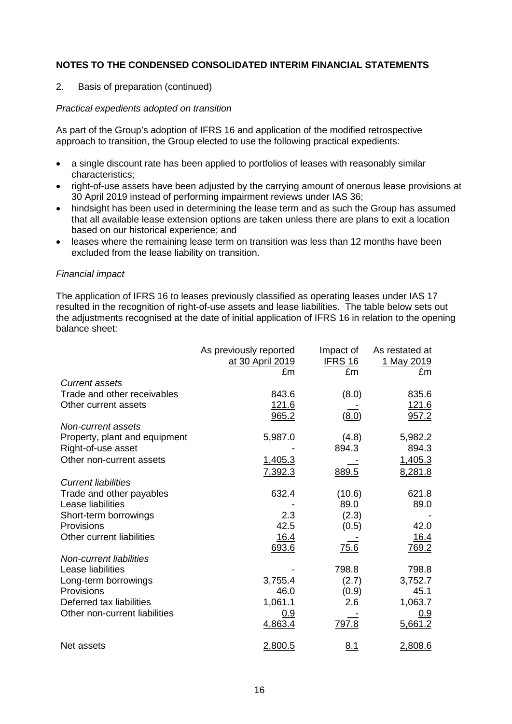2. Basis of preparation (continued)

#### *Practical expedients adopted on transition*

As part of the Group's adoption of IFRS 16 and application of the modified retrospective approach to transition, the Group elected to use the following practical expedients:

- a single discount rate has been applied to portfolios of leases with reasonably similar characteristics;
- right-of-use assets have been adjusted by the carrying amount of onerous lease provisions at 30 April 2019 instead of performing impairment reviews under IAS 36;
- hindsight has been used in determining the lease term and as such the Group has assumed that all available lease extension options are taken unless there are plans to exit a location based on our historical experience; and
- leases where the remaining lease term on transition was less than 12 months have been excluded from the lease liability on transition.

#### *Financial impact*

The application of IFRS 16 to leases previously classified as operating leases under IAS 17 resulted in the recognition of right-of-use assets and lease liabilities. The table below sets out the adjustments recognised at the date of initial application of IFRS 16 in relation to the opening balance sheet:

|                               | As previously reported<br>at 30 April 2019 | Impact of<br><b>IFRS 16</b> | As restated at<br>1 May 2019 |
|-------------------------------|--------------------------------------------|-----------------------------|------------------------------|
|                               | £m                                         | £m                          | £m                           |
| <b>Current assets</b>         |                                            |                             |                              |
| Trade and other receivables   | 843.6                                      | (8.0)                       | 835.6                        |
| Other current assets          | 121.6                                      |                             | <u>121.6</u>                 |
|                               | <u>965.2</u>                               | <u>(8.0)</u>                | 957.2                        |
| Non-current assets            |                                            |                             |                              |
| Property, plant and equipment | 5,987.0                                    | (4.8)                       | 5,982.2                      |
| Right-of-use asset            |                                            | 894.3                       | 894.3                        |
| Other non-current assets      | 1,405.3                                    |                             | 1,405.3                      |
|                               | 7,392.3                                    | 889.5                       | 8,281.8                      |
| <b>Current liabilities</b>    |                                            |                             |                              |
| Trade and other payables      | 632.4                                      | (10.6)                      | 621.8                        |
| Lease liabilities             |                                            | 89.0                        | 89.0                         |
| Short-term borrowings         | 2.3                                        | (2.3)                       |                              |
| <b>Provisions</b>             | 42.5                                       |                             | 42.0                         |
|                               |                                            | (0.5)                       |                              |
| Other current liabilities     | 16.4                                       |                             | 16.4                         |
|                               | 693.6                                      | 75.6                        | 769.2                        |
| Non-current liabilities       |                                            |                             |                              |
| Lease liabilities             |                                            | 798.8                       | 798.8                        |
| Long-term borrowings          | 3,755.4                                    | (2.7)                       | 3,752.7                      |
| Provisions                    | 46.0                                       | (0.9)                       | 45.1                         |
| Deferred tax liabilities      | 1,061.1                                    | 2.6                         | 1,063.7                      |
| Other non-current liabilities | 0.9                                        |                             | 0.9                          |
|                               | 4,863.4                                    | 797.8                       | 5,661.2                      |
| Net assets                    | 2,800.5                                    | 8.1                         | 2,808.6                      |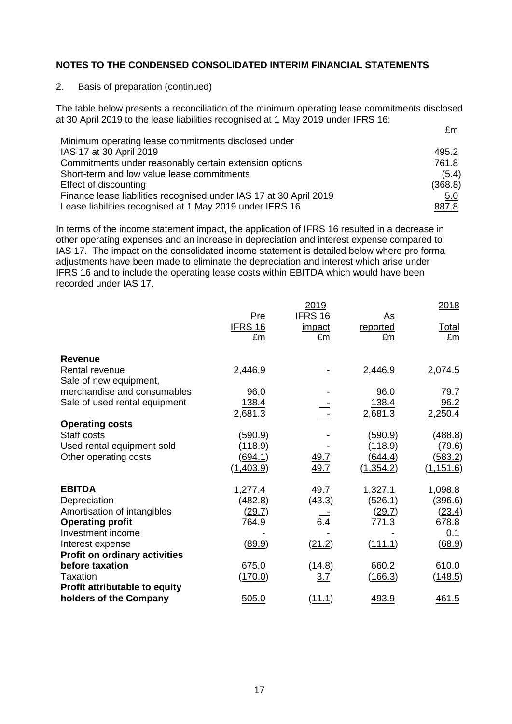2. Basis of preparation (continued)

The table below presents a reconciliation of the minimum operating lease commitments disclosed at 30 April 2019 to the lease liabilities recognised at 1 May 2019 under IFRS 16:

£m

| Minimum operating lease commitments disclosed under                |              |
|--------------------------------------------------------------------|--------------|
| IAS 17 at 30 April 2019                                            | 495.2        |
| Commitments under reasonably certain extension options             | 761.8        |
| Short-term and low value lease commitments                         | (5.4)        |
| Effect of discounting                                              | (368.8)      |
| Finance lease liabilities recognised under IAS 17 at 30 April 2019 | <u>5.0</u>   |
| Lease liabilities recognised at 1 May 2019 under IFRS 16           | <u>887.8</u> |

In terms of the income statement impact, the application of IFRS 16 resulted in a decrease in other operating expenses and an increase in depreciation and interest expense compared to IAS 17. The impact on the consolidated income statement is detailed below where pro forma adjustments have been made to eliminate the depreciation and interest which arise under IFRS 16 and to include the operating lease costs within EBITDA which would have been recorded under IAS 17.

|                                      | Pre            | 2019<br>IFRS 16 | As             | 2018             |
|--------------------------------------|----------------|-----------------|----------------|------------------|
|                                      | <b>IFRS 16</b> | impact          | reported       | <b>Total</b>     |
|                                      | £m             | £m              | £m             | £m               |
|                                      |                |                 |                |                  |
| Revenue                              |                |                 |                |                  |
| Rental revenue                       | 2,446.9        |                 | 2,446.9        | 2,074.5          |
| Sale of new equipment,               |                |                 |                |                  |
| merchandise and consumables          | 96.0           |                 | 96.0           | 79.7             |
| Sale of used rental equipment        | 138.4          |                 | 138.4          | 96.2             |
|                                      | 2,681.3        |                 | 2,681.3        | 2,250.4          |
| <b>Operating costs</b>               |                |                 |                |                  |
| Staff costs                          | (590.9)        |                 | (590.9)        | (488.8)          |
| Used rental equipment sold           | (118.9)        |                 | (118.9)        | (79.6)           |
| Other operating costs                | <u>(694.1)</u> | <u>49.7</u>     | <u>(644.4)</u> | (583.2)          |
|                                      | (1,403.9)      | 49.7            | (1, 354.2)     | (1, 151.6)       |
| <b>EBITDA</b>                        | 1,277.4        | 49.7            | 1,327.1        | 1,098.8          |
| Depreciation                         | (482.8)        | (43.3)          | (526.1)        | (396.6)          |
| Amortisation of intangibles          | <u>(29.7)</u>  |                 | <u>(29.7)</u>  | (23.4)           |
| <b>Operating profit</b>              | 764.9          | 6.4             | 771.3          | 678.8            |
| Investment income                    |                |                 |                | 0.1              |
| Interest expense                     | (89.9)         | (21.2)          | (111.1)        | <u>(68.9)</u>    |
| <b>Profit on ordinary activities</b> |                |                 |                |                  |
| before taxation                      | 675.0          | (14.8)          | 660.2          | 610.0            |
| <b>Taxation</b>                      | (170.0)        | <u>3.7</u>      | (166.3)        | ( <u>148.5</u> ) |
| Profit attributable to equity        |                |                 |                |                  |
| holders of the Company               | 505.0          | (11.1)          | 493.9          | 461.5            |
|                                      |                |                 |                |                  |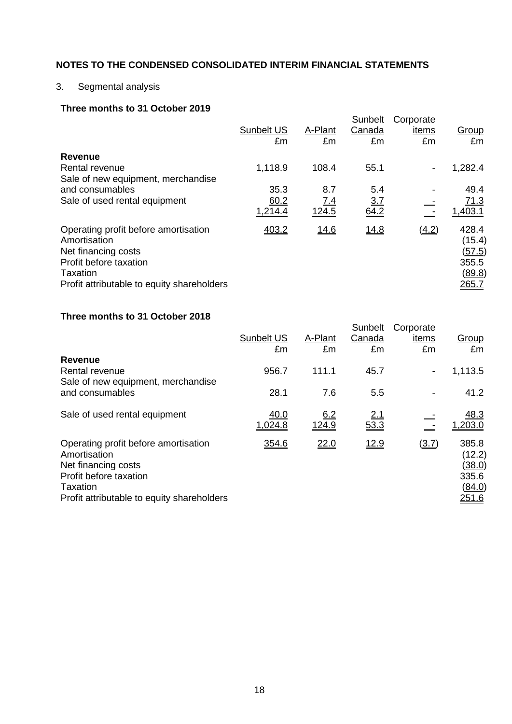# 3. Segmental analysis

# **Three months to 31 October 2019**

| iiii <del>cc</del> iiiviiuis lu ji Uclubei zu is                                                                                                                |                         |                            |                         |                          |                                                               |
|-----------------------------------------------------------------------------------------------------------------------------------------------------------------|-------------------------|----------------------------|-------------------------|--------------------------|---------------------------------------------------------------|
|                                                                                                                                                                 | <b>Sunbelt US</b><br>£m | A-Plant<br>£m              | Sunbelt<br>Canada<br>£m | Corporate<br>items<br>£m | Group<br>£m                                                   |
| <b>Revenue</b>                                                                                                                                                  |                         |                            |                         |                          |                                                               |
| Rental revenue<br>Sale of new equipment, merchandise                                                                                                            | 1,118.9                 | 108.4                      | 55.1                    | $\overline{\phantom{a}}$ | 1,282.4                                                       |
| and consumables                                                                                                                                                 | 35.3                    | 8.7                        | 5.4                     |                          | 49.4                                                          |
| Sale of used rental equipment                                                                                                                                   | 60.2<br>1,214.4         | <u>7.4</u><br><u>124.5</u> | <u>3.7</u><br>64.2      |                          | 71.3<br>1,403.1                                               |
| Operating profit before amortisation<br>Amortisation<br>Net financing costs<br>Profit before taxation<br>Taxation<br>Profit attributable to equity shareholders | 403.2                   | <u>14.6</u>                | 14.8                    | (4.2)                    | 428.4<br>(15.4)<br>(57.5)<br>355.5<br>(89.8)<br><u> 265.7</u> |

# **Three months to 31 October 2018**

|                                                                                                                                                                 | Sunbelt US<br>£m       | A-Plant<br>£m | Sunbelt<br>Canada<br>£m | Corporate<br>items<br>£m | Group<br>£m                                                          |
|-----------------------------------------------------------------------------------------------------------------------------------------------------------------|------------------------|---------------|-------------------------|--------------------------|----------------------------------------------------------------------|
| Revenue<br>Rental revenue<br>Sale of new equipment, merchandise                                                                                                 | 956.7                  | 111.1         | 45.7                    | -                        | 1,113.5                                                              |
| and consumables                                                                                                                                                 | 28.1                   | 7.6           | 5.5                     |                          | 41.2                                                                 |
| Sale of used rental equipment                                                                                                                                   | <u>40.0</u><br>1,024.8 | 6.2<br>124.9  | <u>2.1</u><br>53.3      |                          | 48.3<br>1,203.0                                                      |
| Operating profit before amortisation<br>Amortisation<br>Net financing costs<br>Profit before taxation<br>Taxation<br>Profit attributable to equity shareholders | 354.6                  | 22.0          | 12.9                    | <u>(3.7)</u>             | 385.8<br>(12.2)<br><u>(38.0)</u><br>335.6<br>(84.0)<br><u> 251.6</u> |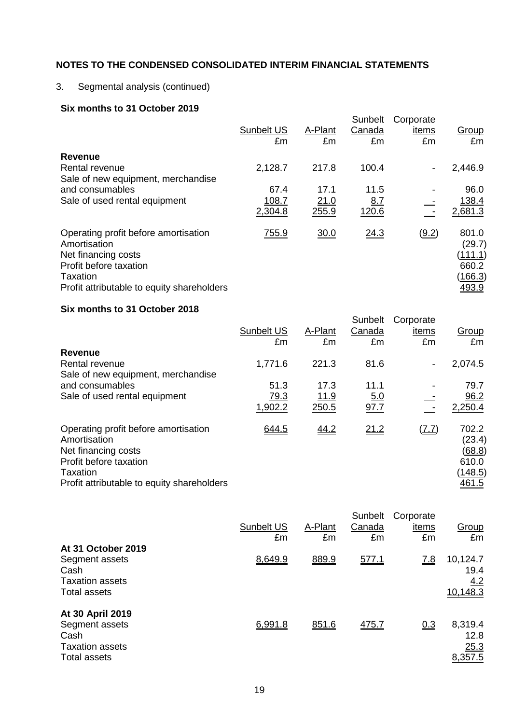# 3. Segmental analysis (continued)

# **Six months to 31 October 2019**

| OIA INUINIS IU JI UULUDU ZUTJ                                                                                                                                   |                          |                       |                             |                          |                                                         |
|-----------------------------------------------------------------------------------------------------------------------------------------------------------------|--------------------------|-----------------------|-----------------------------|--------------------------|---------------------------------------------------------|
|                                                                                                                                                                 | <b>Sunbelt US</b><br>£m  | A-Plant<br>£m         | Sunbelt<br>Canada<br>£m     | Corporate<br>items<br>£m | Group<br>£m                                             |
| Revenue<br>Rental revenue<br>Sale of new equipment, merchandise                                                                                                 | 2,128.7                  | 217.8                 | 100.4                       | -                        | 2,446.9                                                 |
| and consumables<br>Sale of used rental equipment                                                                                                                | 67.4<br>108.7<br>2,304.8 | 17.1<br>21.0<br>255.9 | 11.5<br><u>8.7</u><br>120.6 |                          | 96.0<br>138.4<br>2,681.3                                |
| Operating profit before amortisation<br>Amortisation<br>Net financing costs<br>Profit before taxation<br>Taxation<br>Profit attributable to equity shareholders | 755.9                    | 30.0                  | 24.3                        | (9.2)                    | 801.0<br>(29.7)<br>(111.1)<br>660.2<br>(166.3)<br>493.9 |

# **Six months to 31 October 2018**

| <b>Sunbelt US</b><br>£m | A-Plant<br>£m | Sunbelt<br>Canada | Corporate<br>items       | Group                                                         |
|-------------------------|---------------|-------------------|--------------------------|---------------------------------------------------------------|
|                         |               |                   |                          |                                                               |
|                         |               | £m                | £m                       | £m                                                            |
|                         |               |                   |                          |                                                               |
| 1,771.6                 | 221.3         | 81.6              | $\overline{\phantom{a}}$ | 2,074.5                                                       |
|                         |               |                   |                          |                                                               |
| 51.3                    | 17.3          | 11.1              |                          | 79.7                                                          |
|                         | <u> 11.9</u>  |                   |                          | 96.2                                                          |
| 1,902.2                 | 250.5         | 97.7              |                          | 2,250.4                                                       |
| 644.5                   | 44.2          | 21.2              | $(\underline{7.7})$      | 702.2<br>(23.4)<br>(68.8)<br>610.0<br>(148.5)<br><u>461.5</u> |
|                         | <u>79.3</u>   |                   | 5.0                      |                                                               |

| At 31 October 2019                                                                          | <b>Sunbelt US</b><br>£m | A-Plant<br>£m | Sunbelt<br>Canada<br>£m | Corporate<br>items<br>£m | <b>Group</b><br>£m                  |
|---------------------------------------------------------------------------------------------|-------------------------|---------------|-------------------------|--------------------------|-------------------------------------|
| Segment assets<br>Cash<br><b>Taxation assets</b><br>Total assets                            | 8,649.9                 | 889.9         | 577.1                   | $\underline{7.8}$        | 10,124.7<br>19.4<br>4.2<br>10,148.3 |
| At 30 April 2019<br>Segment assets<br>Cash<br><b>Taxation assets</b><br><b>Total assets</b> | 6,991.8                 | 851.6         | 475.7                   | 0.3                      | 8,319.4<br>12.8<br>25.3<br>8.357.5  |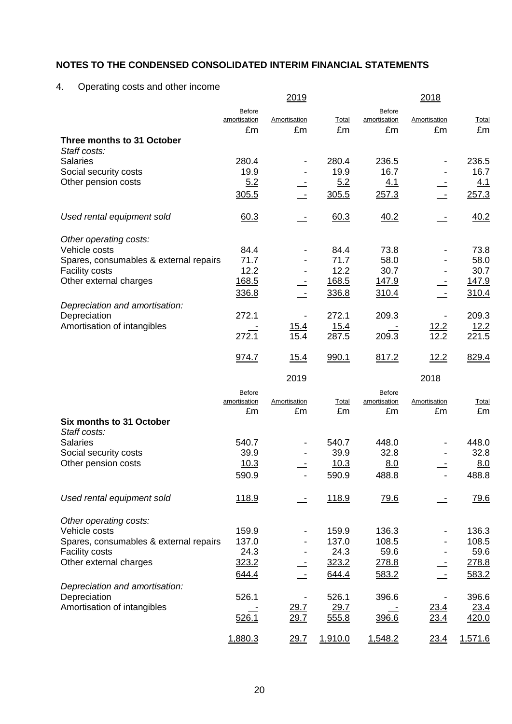# 4. Operating costs and other income

|                                        |               | 2019         |              |               | <u> 2018 </u> |              |
|----------------------------------------|---------------|--------------|--------------|---------------|---------------|--------------|
|                                        | <b>Before</b> |              |              | <b>Before</b> |               |              |
|                                        | amortisation  | Amortisation | Total        | amortisation  | Amortisation  | Total        |
|                                        | £m            | £m           | £m           | £m            | £m            | £m           |
| Three months to 31 October             |               |              |              |               |               |              |
| Staff costs:                           |               |              |              |               |               |              |
| <b>Salaries</b>                        | 280.4         |              | 280.4        | 236.5         |               | 236.5        |
| Social security costs                  | 19.9          |              | 19.9         | 16.7          |               | 16.7         |
| Other pension costs                    | 5.2           |              | 5.2          | 4.1           |               | 4.1          |
|                                        | 305.5         |              | 305.5        | 257.3         |               | 257.3        |
| Used rental equipment sold             | 60.3          |              | 60.3         | 40.2          |               | 40.2         |
| Other operating costs:                 |               |              |              |               |               |              |
| Vehicle costs                          | 84.4          |              | 84.4         | 73.8          |               | 73.8         |
| Spares, consumables & external repairs | 71.7          |              | 71.7         | 58.0          |               | 58.0         |
| <b>Facility costs</b>                  | 12.2          |              | 12.2         | 30.7          |               | 30.7         |
| Other external charges                 | 168.5         |              | <u>168.5</u> | 147.9         |               | <u>147.9</u> |
|                                        | 336.8         |              | 336.8        | 310.4         |               | 310.4        |
| Depreciation and amortisation:         |               |              |              |               |               |              |
| Depreciation                           | 272.1         |              | 272.1        | 209.3         |               | 209.3        |
| Amortisation of intangibles            |               | 15.4         | 15.4         |               | 12.2          | 12.2         |
|                                        | 272.1         | 15.4         | 287.5        | 209.3         | 12.2          | 221.5        |
|                                        |               |              |              |               |               |              |
|                                        | 974.7         | <u>15.4</u>  | 990.1        | 817.2         | 12.2          | 829.4        |
|                                        |               | 2019         |              |               | 2018          |              |
|                                        | <b>Before</b> |              |              | <b>Before</b> |               |              |
|                                        | amortisation  | Amortisation | Total        | amortisation  | Amortisation  | Total        |
|                                        |               |              |              |               |               |              |
|                                        | £m            | £m           | £m           | £m            | £m            | £m           |
| <b>Six months to 31 October</b>        |               |              |              |               |               |              |
| Staff costs:                           |               |              |              |               |               |              |
| <b>Salaries</b>                        | 540.7         |              | 540.7        | 448.0         |               | 448.0        |
| Social security costs                  | 39.9          |              | 39.9         | 32.8          |               | 32.8         |
| Other pension costs                    | 10.3          |              | 10.3         | 8.0           |               | 8.0          |
|                                        | 590.9         |              | 590.9        | 488.8         |               | 488.8        |
| Used rental equipment sold             | <u>118.9</u>  |              | 118.9        | <u>79.6</u>   |               | <u>79.6</u>  |
|                                        |               |              |              |               |               |              |
| Other operating costs:                 |               |              |              |               |               |              |
| Vehicle costs                          | 159.9         |              | 159.9        | 136.3         |               | 136.3        |
| Spares, consumables & external repairs | 137.0         |              | 137.0        | 108.5         |               | 108.5        |
| <b>Facility costs</b>                  | 24.3          |              | 24.3         | 59.6          |               | 59.6         |
| Other external charges                 | 323.2         |              | 323.2        | 278.8         |               | 278.8        |
|                                        | 644.4         |              | 644.4        | 583.2         |               | 583.2        |
| Depreciation and amortisation:         |               |              |              |               |               |              |
| Depreciation                           | 526.1         |              | 526.1        | 396.6         |               | 396.6        |
| Amortisation of intangibles            |               | 29.7         | 29.7         |               | 23.4          | 23.4         |
|                                        | 526.1         | 29.7         | 555.8        | 396.6         | 23.4          | 420.0        |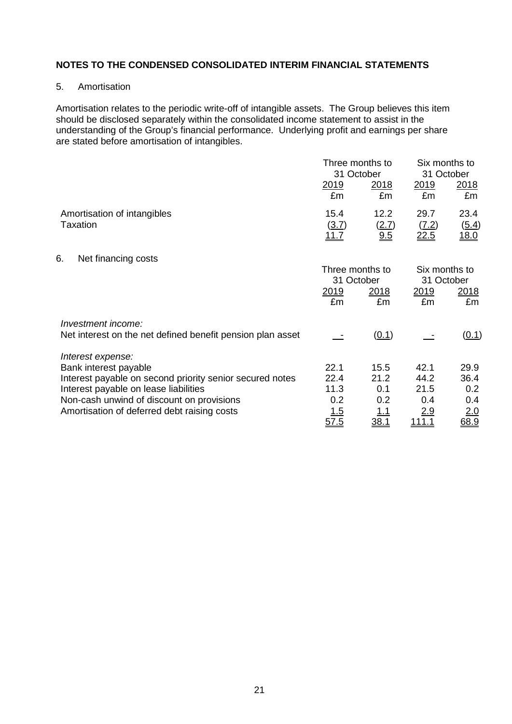### 5. Amortisation

Amortisation relates to the periodic write-off of intangible assets. The Group believes this item should be disclosed separately within the consolidated income statement to assist in the understanding of the Group's financial performance. Underlying profit and earnings per share are stated before amortisation of intangibles.

|                                                                                                                                                                                                                                             | <u>2019</u><br>£m                          | Three months to<br>31 October<br><u>2018</u><br>£m      | <u>2019</u><br>£m                                          | Six months to<br>31 October<br><u>2018</u><br>£m |
|---------------------------------------------------------------------------------------------------------------------------------------------------------------------------------------------------------------------------------------------|--------------------------------------------|---------------------------------------------------------|------------------------------------------------------------|--------------------------------------------------|
| Amortisation of intangibles<br><b>Taxation</b>                                                                                                                                                                                              | 15.4<br>(3.7)<br><u> 11.7</u>              | 12.2<br>(2.7)<br>9.5                                    | 29.7<br>(7.2)<br>22.5                                      | 23.4<br>(5.4)<br><u> 18.0</u>                    |
| 6.<br>Net financing costs                                                                                                                                                                                                                   | 31 October<br><u> 2019</u><br>£m           | Three months to<br><u>2018</u><br>£m                    | <u> 2019</u><br>£m                                         | Six months to<br>31 October<br>2018<br>£m        |
| Investment income:<br>Net interest on the net defined benefit pension plan asset                                                                                                                                                            |                                            | (0.1)                                                   |                                                            | <u>(0.1)</u>                                     |
| Interest expense:<br>Bank interest payable<br>Interest payable on second priority senior secured notes<br>Interest payable on lease liabilities<br>Non-cash unwind of discount on provisions<br>Amortisation of deferred debt raising costs | 22.1<br>22.4<br>11.3<br>0.2<br>1.5<br>57.5 | 15.5<br>21.2<br>0.1<br>0.2<br><u>1.1</u><br><u>38.1</u> | 42.1<br>44.2<br>21.5<br>0.4<br><u>2.9</u><br><u> 111.1</u> | 29.9<br>36.4<br>0.2<br>0.4<br>2.0<br>68.9        |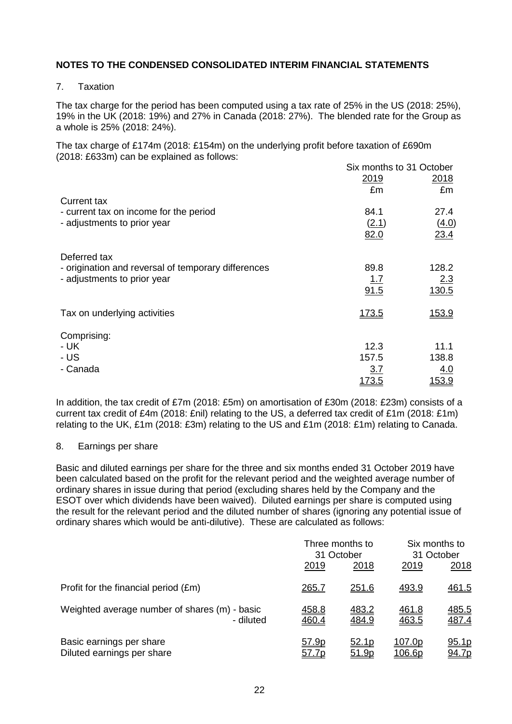#### 7. Taxation

The tax charge for the period has been computed using a tax rate of 25% in the US (2018: 25%), 19% in the UK (2018: 19%) and 27% in Canada (2018: 27%). The blended rate for the Group as a whole is 25% (2018: 24%).

The tax charge of £174m (2018: £154m) on the underlying profit before taxation of £690m (2018: £633m) can be explained as follows:

|                                                     | Six months to 31 October |              |
|-----------------------------------------------------|--------------------------|--------------|
|                                                     | 2019                     | 2018         |
|                                                     | £m                       | £m           |
| <b>Current tax</b>                                  |                          |              |
| - current tax on income for the period              | 84.1                     | 27.4         |
| - adjustments to prior year                         | (2.1)                    | (4.0)        |
|                                                     | 82.0                     | 23.4         |
| Deferred tax                                        |                          |              |
| - origination and reversal of temporary differences | 89.8                     | 128.2        |
| - adjustments to prior year                         | <u>1.7</u>               | 2.3          |
|                                                     | 91.5                     | 130.5        |
| Tax on underlying activities                        | 173.5                    | 153.9        |
|                                                     |                          |              |
| Comprising:                                         |                          |              |
| - UK                                                | 12.3                     | 11.1         |
| - US                                                | 157.5                    | 138.8        |
| - Canada                                            | <u>3.7</u>               | <u>4.0</u>   |
|                                                     | 173.5                    | <u>153.9</u> |

In addition, the tax credit of £7m (2018: £5m) on amortisation of £30m (2018: £23m) consists of a current tax credit of £4m (2018: £nil) relating to the US, a deferred tax credit of £1m (2018: £1m) relating to the UK, £1m (2018: £3m) relating to the US and £1m (2018: £1m) relating to Canada.

#### 8. Earnings per share

Basic and diluted earnings per share for the three and six months ended 31 October 2019 have been calculated based on the profit for the relevant period and the weighted average number of ordinary shares in issue during that period (excluding shares held by the Company and the ESOT over which dividends have been waived). Diluted earnings per share is computed using the result for the relevant period and the diluted number of shares (ignoring any potential issue of ordinary shares which would be anti-dilutive). These are calculated as follows:

|                                                            | Three months to<br>31 October |                       | Six months to<br>31 October |                              |
|------------------------------------------------------------|-------------------------------|-----------------------|-----------------------------|------------------------------|
|                                                            | 2019                          | 2018                  | 2019                        | 2018                         |
| Profit for the financial period (£m)                       | <u> 265.7</u>                 | 251.6                 | 493.9                       | 461.5                        |
| Weighted average number of shares (m) - basic<br>- diluted | <u>458.8</u><br>460.4         | 483.2<br>484.9        | <u>461.8</u><br>463.5       | <u>485.5</u><br>487.4        |
| Basic earnings per share<br>Diluted earnings per share     | <u>57.9p</u>                  | 52.1p<br><u>51.9p</u> | 107.0p<br>106.6p            | <u>95.1p</u><br><u>94.7p</u> |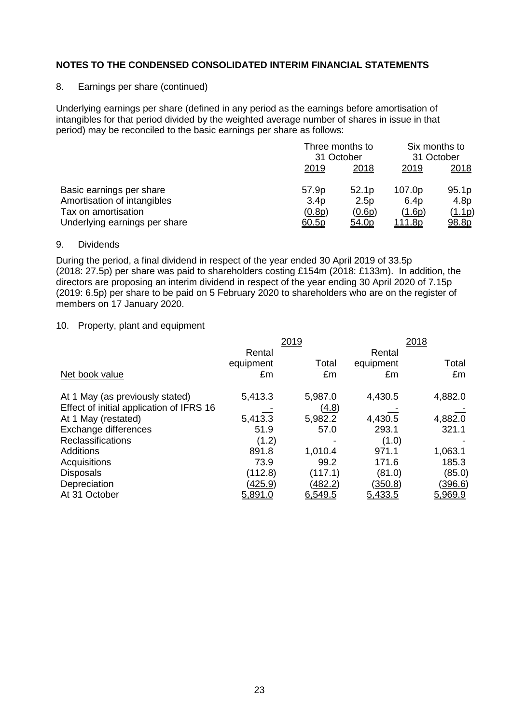#### 8. Earnings per share (continued)

Underlying earnings per share (defined in any period as the earnings before amortisation of intangibles for that period divided by the weighted average number of shares in issue in that period) may be reconciled to the basic earnings per share as follows:

|                                                                                                                 | 31 October                                   | Three months to                              | Six months to<br>31 October                           |                                                |
|-----------------------------------------------------------------------------------------------------------------|----------------------------------------------|----------------------------------------------|-------------------------------------------------------|------------------------------------------------|
|                                                                                                                 | 2019                                         | 2018                                         | 2019                                                  | <u>2018</u>                                    |
| Basic earnings per share<br>Amortisation of intangibles<br>Tax on amortisation<br>Underlying earnings per share | 57.9p<br>3.4 <sub>p</sub><br>(0.8p)<br>60.5p | 52.1 <sub>p</sub><br>2.5p<br>(0.6p)<br>54.0p | 107.0p<br>6.4 <sub>p</sub><br>(1.6p)<br><u>111.8p</u> | 95.1p<br>4.8p<br><u>(1.1p)</u><br><u>98.8p</u> |

#### 9. Dividends

During the period, a final dividend in respect of the year ended 30 April 2019 of 33.5p (2018: 27.5p) per share was paid to shareholders costing £154m (2018: £133m). In addition, the directors are proposing an interim dividend in respect of the year ending 30 April 2020 of 7.15p (2019: 6.5p) per share to be paid on 5 February 2020 to shareholders who are on the register of members on 17 January 2020.

#### 10. Property, plant and equipment

|                                          |           | 2019         |           | 2018           |
|------------------------------------------|-----------|--------------|-----------|----------------|
|                                          | Rental    |              | Rental    |                |
|                                          | equipment | <b>Total</b> | equipment | <u>Total</u>   |
| Net book value                           | £m        | £m           | £m        | £m             |
| At 1 May (as previously stated)          | 5,413.3   | 5,987.0      | 4,430.5   | 4,882.0        |
| Effect of initial application of IFRS 16 |           | (4.8)        |           |                |
| At 1 May (restated)                      | 5,413.3   | 5,982.2      | 4,430.5   | 4,882.0        |
| Exchange differences                     | 51.9      | 57.0         | 293.1     | 321.1          |
| Reclassifications                        | (1.2)     |              | (1.0)     |                |
| <b>Additions</b>                         | 891.8     | 1,010.4      | 971.1     | 1,063.1        |
| Acquisitions                             | 73.9      | 99.2         | 171.6     | 185.3          |
| <b>Disposals</b>                         | (112.8)   | (117.1)      | (81.0)    | (85.0)         |
| Depreciation                             | (425.9)   | (482.2)      | (350.8)   | <u>(396.6)</u> |
| At 31 October                            | 5,891.0   | 6,549.5      | 5,433.5   | 5,969.9        |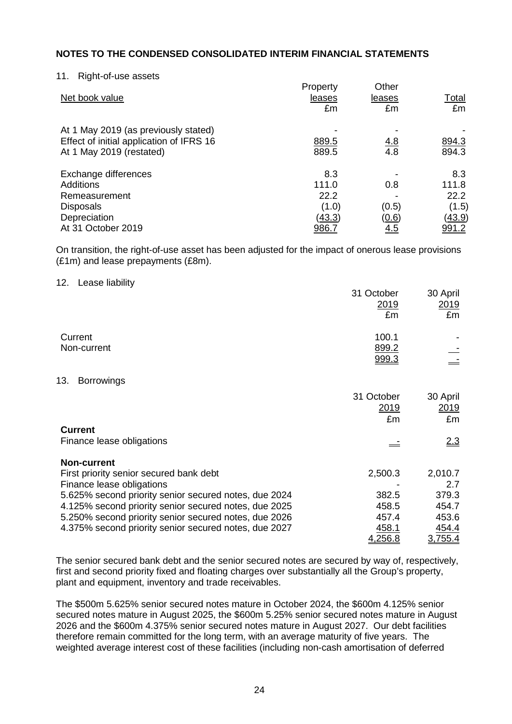| Net book value                                                                                               | Property<br>leases<br>£m | Other<br>leases<br>£m | <u>Total</u><br>£m             |
|--------------------------------------------------------------------------------------------------------------|--------------------------|-----------------------|--------------------------------|
| At 1 May 2019 (as previously stated)<br>Effect of initial application of IFRS 16<br>At 1 May 2019 (restated) | 889.5<br>889.5           | <u>4.8</u><br>4.8     | 894.3<br>894.3                 |
| Exchange differences<br><b>Additions</b>                                                                     | 8.3<br>111.0             | 0.8                   | 8.3<br>111.8                   |
| Remeasurement<br><b>Disposals</b><br>Depreciation                                                            | 22.2<br>(1.0)<br>(43.3)  | (0.5)<br>(0.6)        | 22.2<br>(1.5)<br><u>(43.9)</u> |
| At 31 October 2019                                                                                           | <u>986.7</u>             | 4.5                   | 991.2                          |

On transition, the right-of-use asset has been adjusted for the impact of onerous lease provisions (£1m) and lease prepayments (£8m).

#### 12. Lease liability

11. Right-of-use assets

|                                                       | 31 October<br>2019<br>£m         | 30 April<br>2019<br>£m |
|-------------------------------------------------------|----------------------------------|------------------------|
| Current<br>Non-current                                | 100.1<br>899.2                   |                        |
|                                                       | <u>999.3</u>                     |                        |
| 13.<br><b>Borrowings</b>                              |                                  |                        |
|                                                       | 31 October<br><u> 2019</u><br>£m | 30 April<br>2019<br>£m |
| <b>Current</b><br>Finance lease obligations           |                                  | 2.3                    |
| Non-current                                           |                                  |                        |
| First priority senior secured bank debt               | 2,500.3                          | 2,010.7                |
| Finance lease obligations                             |                                  | 2.7                    |
| 5.625% second priority senior secured notes, due 2024 | 382.5                            | 379.3                  |
| 4.125% second priority senior secured notes, due 2025 | 458.5                            | 454.7                  |
| 5.250% second priority senior secured notes, due 2026 | 457.4                            | 453.6                  |
| 4.375% second priority senior secured notes, due 2027 | 458.1                            | 454.4                  |
|                                                       | 4,256.8                          | 3,755.4                |

The senior secured bank debt and the senior secured notes are secured by way of, respectively, first and second priority fixed and floating charges over substantially all the Group's property, plant and equipment, inventory and trade receivables.

The \$500m 5.625% senior secured notes mature in October 2024, the \$600m 4.125% senior secured notes mature in August 2025, the \$600m 5.25% senior secured notes mature in August 2026 and the \$600m 4.375% senior secured notes mature in August 2027. Our debt facilities therefore remain committed for the long term, with an average maturity of five years. The weighted average interest cost of these facilities (including non-cash amortisation of deferred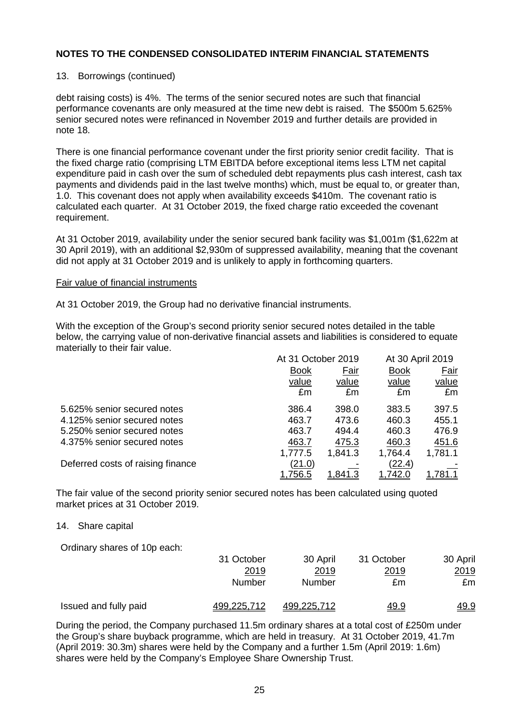### 13. Borrowings (continued)

debt raising costs) is 4%. The terms of the senior secured notes are such that financial performance covenants are only measured at the time new debt is raised. The \$500m 5.625% senior secured notes were refinanced in November 2019 and further details are provided in note 18.

There is one financial performance covenant under the first priority senior credit facility. That is the fixed charge ratio (comprising LTM EBITDA before exceptional items less LTM net capital expenditure paid in cash over the sum of scheduled debt repayments plus cash interest, cash tax payments and dividends paid in the last twelve months) which, must be equal to, or greater than, 1.0. This covenant does not apply when availability exceeds \$410m. The covenant ratio is calculated each quarter. At 31 October 2019, the fixed charge ratio exceeded the covenant requirement.

At 31 October 2019, availability under the senior secured bank facility was \$1,001m (\$1,622m at 30 April 2019), with an additional \$2,930m of suppressed availability, meaning that the covenant did not apply at 31 October 2019 and is unlikely to apply in forthcoming quarters.

#### Fair value of financial instruments

At 31 October 2019, the Group had no derivative financial instruments.

With the exception of the Group's second priority senior secured notes detailed in the table below, the carrying value of non-derivative financial assets and liabilities is considered to equate materially to their fair value.

|                                   | At 31 October 2019 |             | At 30 April 2019 |             |  |
|-----------------------------------|--------------------|-------------|------------------|-------------|--|
|                                   | <b>Book</b>        | <u>Fair</u> | <b>Book</b>      | <b>Fair</b> |  |
|                                   | value              | value       | value            | value       |  |
|                                   | £m                 | £m          | £m               | £m          |  |
| 5.625% senior secured notes       | 386.4              | 398.0       | 383.5            | 397.5       |  |
| 4.125% senior secured notes       | 463.7              | 473.6       | 460.3            | 455.1       |  |
| 5.250% senior secured notes       | 463.7              | 494.4       | 460.3            | 476.9       |  |
| 4.375% senior secured notes       | 463.7              | 475.3       | 460.3            | 451.6       |  |
|                                   | 1,777.5            | 1,841.3     | 1,764.4          | 1,781.1     |  |
| Deferred costs of raising finance | (21.0)             |             | (22.4)           |             |  |
|                                   | <u>1,756.5</u>     | 1.841.3     | 1,742.0          | 1.781.1     |  |

The fair value of the second priority senior secured notes has been calculated using quoted market prices at 31 October 2019.

#### 14. Share capital

Ordinary shares of 10p each:

|                       | 31 October  | 30 April    | 31 October  | 30 April    |
|-----------------------|-------------|-------------|-------------|-------------|
|                       | 2019        | 2019        | <u>2019</u> | 2019        |
|                       | Number      | Number      | £m          | £m          |
| Issued and fully paid | 499,225,712 | 499,225,712 | <u>49.9</u> | <u>49.9</u> |

During the period, the Company purchased 11.5m ordinary shares at a total cost of £250m under the Group's share buyback programme, which are held in treasury. At 31 October 2019, 41.7m (April 2019: 30.3m) shares were held by the Company and a further 1.5m (April 2019: 1.6m) shares were held by the Company's Employee Share Ownership Trust.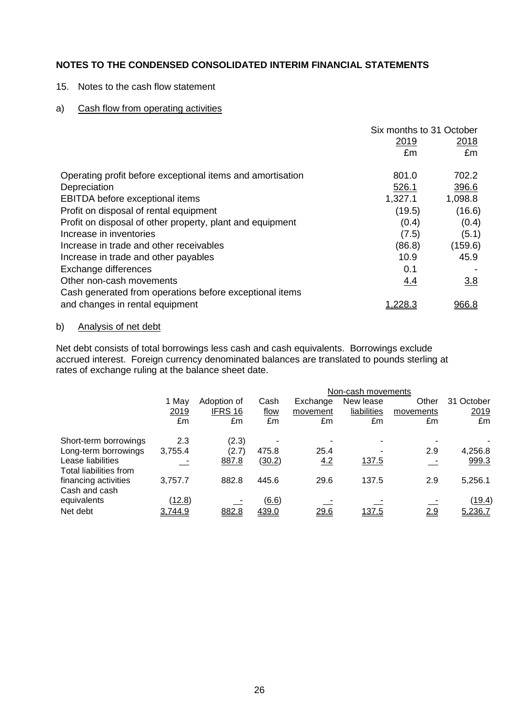#### 15. Notes to the cash flow statement

## a) Cash flow from operating activities

|                                                            | Six months to 31 October |         |
|------------------------------------------------------------|--------------------------|---------|
|                                                            | 2019                     | 2018    |
|                                                            | £m                       | £m      |
| Operating profit before exceptional items and amortisation | 801.0                    | 702.2   |
| Depreciation                                               | 526.1                    | 396.6   |
| <b>EBITDA</b> before exceptional items                     | 1,327.1                  | 1,098.8 |
| Profit on disposal of rental equipment                     | (19.5)                   | (16.6)  |
| Profit on disposal of other property, plant and equipment  | (0.4)                    | (0.4)   |
| Increase in inventories                                    | (7.5)                    | (5.1)   |
| Increase in trade and other receivables                    | (86.8)                   | (159.6) |
| Increase in trade and other payables                       | 10.9                     | 45.9    |
| Exchange differences                                       | 0.1                      |         |
| Other non-cash movements                                   | 4.4                      | 3.8     |
| Cash generated from operations before exceptional items    |                          |         |
| and changes in rental equipment                            |                          | .366.8  |

## b) Analysis of net debt

Net debt consists of total borrowings less cash and cash equivalents. Borrowings exclude accrued interest. Foreign currency denominated balances are translated to pounds sterling at rates of exchange ruling at the balance sheet date.

|                                             | Non-cash movements |             |                     |          |              |           |               |
|---------------------------------------------|--------------------|-------------|---------------------|----------|--------------|-----------|---------------|
|                                             | 1 May              | Adoption of | Cash                | Exchange | New lease    | Other     | 31 October    |
|                                             | 2019               | IFRS 16     | flow                | movement | liabilities  | movements | 2019          |
|                                             | £m                 | £m          | £m                  | £m       | £m           | £m        | £m            |
| Short-term borrowings                       | 2.3                | (2.3)       |                     |          |              |           |               |
| Long-term borrowings                        | 3,755.4            | (2.7)       | 475.8               | 25.4     |              | 2.9       | 4,256.8       |
| Lease liabilities<br>Total liabilities from |                    | 887.8       | (30.2)              | 4.2      | 137.5        |           | 999.3         |
| financing activities<br>Cash and cash       | 3,757.7            | 882.8       | 445.6               | 29.6     | 137.5        | 2.9       | 5,256.1       |
| equivalents                                 | <u>(12.8)</u>      |             | $\underline{(6.6)}$ |          |              |           | <u>(19.4)</u> |
| Net debt                                    | 3,744.9            | 882.8       | 439.0               | 29.6     | <u>137.5</u> | 2.9       | 5,236.7       |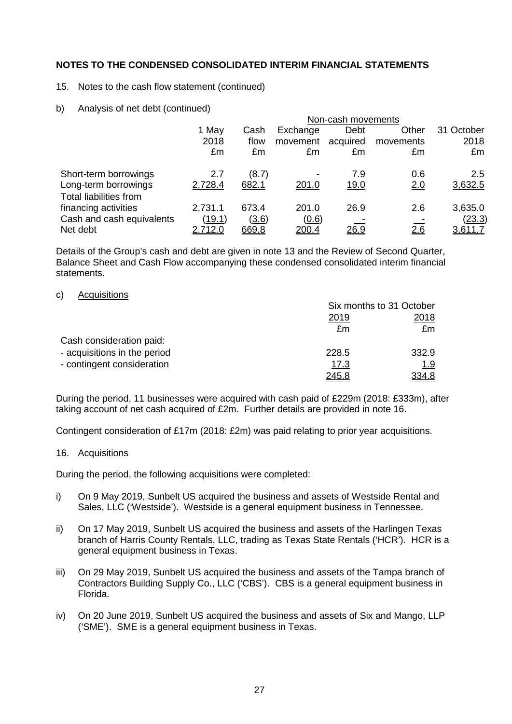- 15. Notes to the cash flow statement (continued)
- b) Analysis of net debt (continued)

|                               | Non-cash movements |              |               |             |           |               |
|-------------------------------|--------------------|--------------|---------------|-------------|-----------|---------------|
|                               | 1 May              | Cash         | Exchange      | Debt        | Other     | 31 October    |
|                               | 2018               | flow         | movement      | acquired    | movements | 2018          |
|                               | £m                 | £m           | £m            | £m          | £m        | £m            |
| Short-term borrowings         | 2.7                | (8.7)        | -             | 7.9         | 0.6       | $2.5^{\circ}$ |
| Long-term borrowings          | 2,728.4            | 682.1        | 201.0         | <u>19.0</u> | 2.0       | 3,632.5       |
| <b>Total liabilities from</b> |                    |              |               |             |           |               |
| financing activities          | 2,731.1            | 673.4        | 201.0         | 26.9        | 2.6       | 3,635.0       |
| Cash and cash equivalents     | <u>(19.1)</u>      | <u>(3.6)</u> | (0.6)         |             |           | <u>(23.3)</u> |
| Net debt                      | 2,712.0            | 669.8        | <u> 200.4</u> | 26.9        | 2.6       | 3,611.7       |

Details of the Group's cash and debt are given in note 13 and the Review of Second Quarter, Balance Sheet and Cash Flow accompanying these condensed consolidated interim financial statements.

#### c) Acquisitions

|                              | Six months to 31 October |            |  |
|------------------------------|--------------------------|------------|--|
|                              | 2019                     | 2018       |  |
|                              | £m                       | £m         |  |
| Cash consideration paid:     |                          |            |  |
| - acquisitions in the period | 228.5                    | 332.9      |  |
| - contingent consideration   | 17.3                     | <u>1.9</u> |  |
|                              | 245.8                    | 34.8       |  |

During the period, 11 businesses were acquired with cash paid of £229m (2018: £333m), after taking account of net cash acquired of £2m. Further details are provided in note 16.

Contingent consideration of £17m (2018: £2m) was paid relating to prior year acquisitions.

#### 16. Acquisitions

During the period, the following acquisitions were completed:

- i) On 9 May 2019, Sunbelt US acquired the business and assets of Westside Rental and Sales, LLC ('Westside'). Westside is a general equipment business in Tennessee.
- ii) On 17 May 2019, Sunbelt US acquired the business and assets of the Harlingen Texas branch of Harris County Rentals, LLC, trading as Texas State Rentals ('HCR'). HCR is a general equipment business in Texas.
- iii) On 29 May 2019, Sunbelt US acquired the business and assets of the Tampa branch of Contractors Building Supply Co., LLC ('CBS'). CBS is a general equipment business in Florida.
- iv) On 20 June 2019, Sunbelt US acquired the business and assets of Six and Mango, LLP ('SME'). SME is a general equipment business in Texas.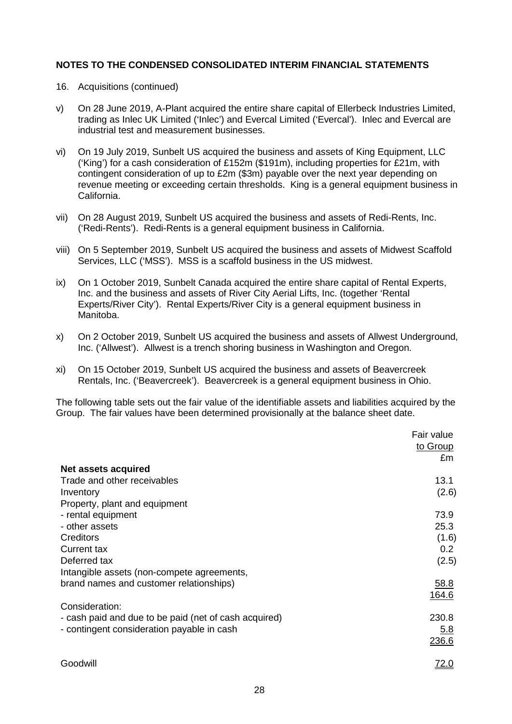- 16. Acquisitions (continued)
- v) On 28 June 2019, A-Plant acquired the entire share capital of Ellerbeck Industries Limited, trading as Inlec UK Limited ('Inlec') and Evercal Limited ('Evercal'). Inlec and Evercal are industrial test and measurement businesses.
- vi) On 19 July 2019, Sunbelt US acquired the business and assets of King Equipment, LLC ('King') for a cash consideration of £152m (\$191m), including properties for £21m, with contingent consideration of up to £2m (\$3m) payable over the next year depending on revenue meeting or exceeding certain thresholds. King is a general equipment business in California.
- vii) On 28 August 2019, Sunbelt US acquired the business and assets of Redi-Rents, Inc. ('Redi-Rents'). Redi-Rents is a general equipment business in California.
- viii) On 5 September 2019, Sunbelt US acquired the business and assets of Midwest Scaffold Services, LLC ('MSS'). MSS is a scaffold business in the US midwest.
- ix) On 1 October 2019, Sunbelt Canada acquired the entire share capital of Rental Experts, Inc. and the business and assets of River City Aerial Lifts, Inc. (together 'Rental Experts/River City'). Rental Experts/River City is a general equipment business in Manitoba.
- x) On 2 October 2019, Sunbelt US acquired the business and assets of Allwest Underground, Inc. ('Allwest'). Allwest is a trench shoring business in Washington and Oregon.
- xi) On 15 October 2019, Sunbelt US acquired the business and assets of Beavercreek Rentals, Inc. ('Beavercreek'). Beavercreek is a general equipment business in Ohio.

The following table sets out the fair value of the identifiable assets and liabilities acquired by the Group. The fair values have been determined provisionally at the balance sheet date.

|                                                       | Fair value     |
|-------------------------------------------------------|----------------|
|                                                       | to Group<br>£m |
| Net assets acquired                                   |                |
| Trade and other receivables                           | 13.1           |
|                                                       |                |
| Inventory                                             | (2.6)          |
| Property, plant and equipment                         |                |
| - rental equipment                                    | 73.9           |
| - other assets                                        | 25.3           |
| Creditors                                             | (1.6)          |
| <b>Current tax</b>                                    | 0.2            |
| Deferred tax                                          | (2.5)          |
| Intangible assets (non-compete agreements,            |                |
| brand names and customer relationships)               | 58.8           |
|                                                       | 164.6          |
|                                                       |                |
| Consideration:                                        |                |
| - cash paid and due to be paid (net of cash acquired) | 230.8          |
| - contingent consideration payable in cash            | 5.8            |
|                                                       | 236.6          |
| Goodwill                                              | <u>72.0</u>    |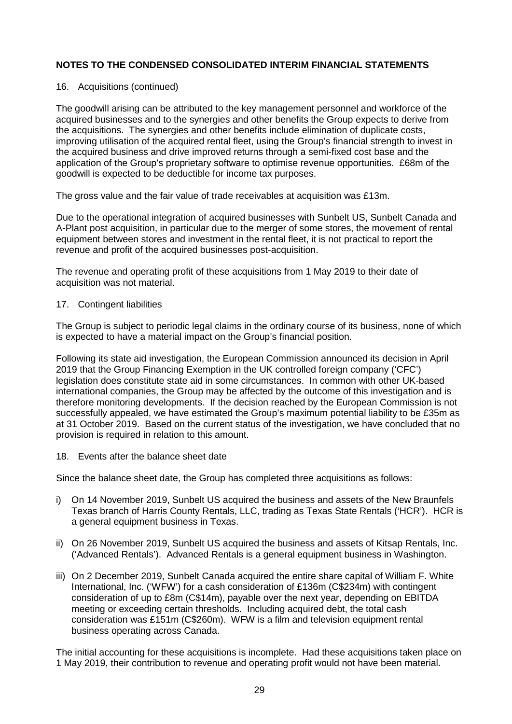### 16. Acquisitions (continued)

The goodwill arising can be attributed to the key management personnel and workforce of the acquired businesses and to the synergies and other benefits the Group expects to derive from the acquisitions. The synergies and other benefits include elimination of duplicate costs, improving utilisation of the acquired rental fleet, using the Group's financial strength to invest in the acquired business and drive improved returns through a semi-fixed cost base and the application of the Group's proprietary software to optimise revenue opportunities. £68m of the goodwill is expected to be deductible for income tax purposes.

The gross value and the fair value of trade receivables at acquisition was £13m.

Due to the operational integration of acquired businesses with Sunbelt US, Sunbelt Canada and A-Plant post acquisition, in particular due to the merger of some stores, the movement of rental equipment between stores and investment in the rental fleet, it is not practical to report the revenue and profit of the acquired businesses post-acquisition.

The revenue and operating profit of these acquisitions from 1 May 2019 to their date of acquisition was not material.

17. Contingent liabilities

The Group is subject to periodic legal claims in the ordinary course of its business, none of which is expected to have a material impact on the Group's financial position.

Following its state aid investigation, the European Commission announced its decision in April 2019 that the Group Financing Exemption in the UK controlled foreign company ('CFC') legislation does constitute state aid in some circumstances. In common with other UK-based international companies, the Group may be affected by the outcome of this investigation and is therefore monitoring developments. If the decision reached by the European Commission is not successfully appealed, we have estimated the Group's maximum potential liability to be £35m as at 31 October 2019. Based on the current status of the investigation, we have concluded that no provision is required in relation to this amount.

18. Events after the balance sheet date

Since the balance sheet date, the Group has completed three acquisitions as follows:

- i) On 14 November 2019, Sunbelt US acquired the business and assets of the New Braunfels Texas branch of Harris County Rentals, LLC, trading as Texas State Rentals ('HCR'). HCR is a general equipment business in Texas.
- ii) On 26 November 2019, Sunbelt US acquired the business and assets of Kitsap Rentals, Inc. ('Advanced Rentals'). Advanced Rentals is a general equipment business in Washington.
- iii) On 2 December 2019, Sunbelt Canada acquired the entire share capital of William F. White International, Inc. ('WFW') for a cash consideration of £136m (C\$234m) with contingent consideration of up to £8m (C\$14m), payable over the next year, depending on EBITDA meeting or exceeding certain thresholds. Including acquired debt, the total cash consideration was £151m (C\$260m). WFW is a film and television equipment rental business operating across Canada.

The initial accounting for these acquisitions is incomplete. Had these acquisitions taken place on 1 May 2019, their contribution to revenue and operating profit would not have been material.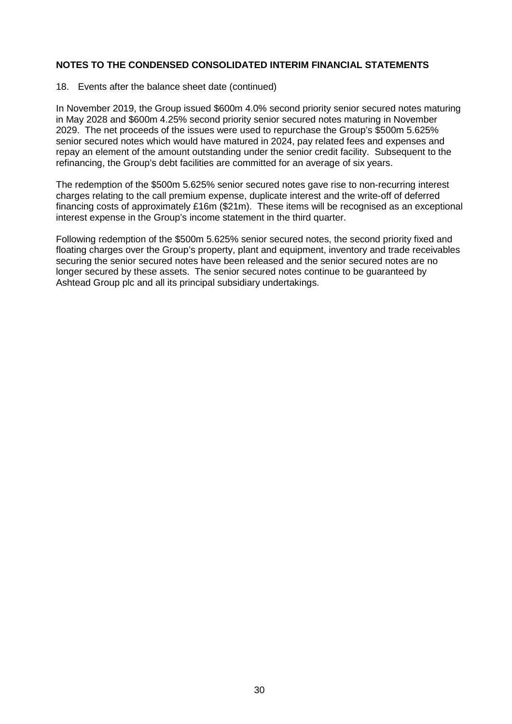#### 18. Events after the balance sheet date (continued)

In November 2019, the Group issued \$600m 4.0% second priority senior secured notes maturing in May 2028 and \$600m 4.25% second priority senior secured notes maturing in November 2029. The net proceeds of the issues were used to repurchase the Group's \$500m 5.625% senior secured notes which would have matured in 2024, pay related fees and expenses and repay an element of the amount outstanding under the senior credit facility. Subsequent to the refinancing, the Group's debt facilities are committed for an average of six years.

The redemption of the \$500m 5.625% senior secured notes gave rise to non-recurring interest charges relating to the call premium expense, duplicate interest and the write-off of deferred financing costs of approximately £16m (\$21m). These items will be recognised as an exceptional interest expense in the Group's income statement in the third quarter.

Following redemption of the \$500m 5.625% senior secured notes, the second priority fixed and floating charges over the Group's property, plant and equipment, inventory and trade receivables securing the senior secured notes have been released and the senior secured notes are no longer secured by these assets. The senior secured notes continue to be guaranteed by Ashtead Group plc and all its principal subsidiary undertakings.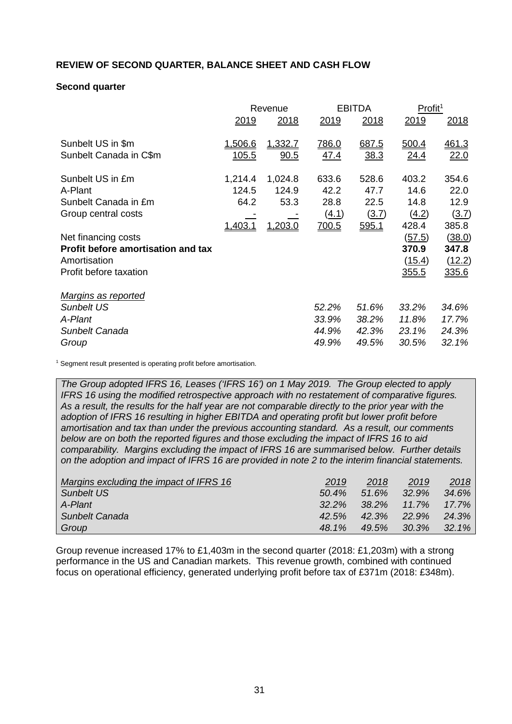# **REVIEW OF SECOND QUARTER, BALANCE SHEET AND CASH FLOW**

#### **Second quarter**

|                                    |                | Revenue |              | <b>EBITDA</b> |        | Profit <sup>1</sup> |
|------------------------------------|----------------|---------|--------------|---------------|--------|---------------------|
|                                    | 2019           | 2018    | 2019         | 2018          | 2019   | 2018                |
| Sunbelt US in \$m                  | 1.506.6        | 1,332.7 | 786.0        | 687.5         | 500.4  | <u>461.3</u>        |
| Sunbelt Canada in C\$m             | 105.5          | 90.5    | 47.4         | 38.3          | 24.4   | 22.0                |
| Sunbelt US in £m                   | 1,214.4        | 1,024.8 | 633.6        | 528.6         | 403.2  | 354.6               |
| A-Plant                            | 124.5          | 124.9   | 42.2         | 47.7          | 14.6   | 22.0                |
| Sunbelt Canada in £m               | 64.2           | 53.3    | 28.8         | 22.5          | 14.8   | 12.9                |
| Group central costs                |                |         | (4.1)        | (3.7)         | (4.2)  | (3.7)               |
|                                    | <u>1,403.1</u> | 1,203.0 | <u>700.5</u> | 595.1         | 428.4  | 385.8               |
| Net financing costs                |                |         |              |               | (57.5) | (38.0)              |
| Profit before amortisation and tax |                |         |              |               | 370.9  | 347.8               |
| Amortisation                       |                |         |              |               | (15.4) | (12.2)              |
| Profit before taxation             |                |         |              |               | 355.5  | 335.6               |
| <b>Margins as reported</b>         |                |         |              |               |        |                     |
| <b>Sunbelt US</b>                  |                |         | 52.2%        | 51.6%         | 33.2%  | 34.6%               |
| A-Plant                            |                |         | 33.9%        | 38.2%         | 11.8%  | 17.7%               |
| Sunbelt Canada                     |                |         | 44.9%        | 42.3%         | 23.1%  | 24.3%               |
| Group                              |                |         | 49.9%        | 49.5%         | 30.5%  | 32.1%               |

<sup>1</sup> Segment result presented is operating profit before amortisation.

*The Group adopted IFRS 16, Leases ('IFRS 16') on 1 May 2019. The Group elected to apply IFRS 16 using the modified retrospective approach with no restatement of comparative figures. As a result, the results for the half year are not comparable directly to the prior year with the adoption of IFRS 16 resulting in higher EBITDA and operating profit but lower profit before amortisation and tax than under the previous accounting standard. As a result, our comments below are on both the reported figures and those excluding the impact of IFRS 16 to aid comparability. Margins excluding the impact of IFRS 16 are summarised below. Further details on the adoption and impact of IFRS 16 are provided in note 2 to the interim financial statements.*

| Margins excluding the impact of IFRS 16 | 2019     | 2018     | 2019              | 2018     |
|-----------------------------------------|----------|----------|-------------------|----------|
| <b>Sunbelt US</b>                       | 50.4%    | $51.6\%$ | 32.9%             | 34.6%    |
| A-Plant                                 | $32.2\%$ |          | 38.2% 11.7% 17.7% |          |
| <b>Sunbelt Canada</b>                   | $42.5\%$ | $42.3\%$ | <b>22.9%</b>      | 24.3%    |
| Group                                   | 48.1%    | 49.5%    | 30.3%             | $32.1\%$ |

Group revenue increased 17% to £1,403m in the second quarter (2018: £1,203m) with a strong performance in the US and Canadian markets. This revenue growth, combined with continued focus on operational efficiency, generated underlying profit before tax of £371m (2018: £348m).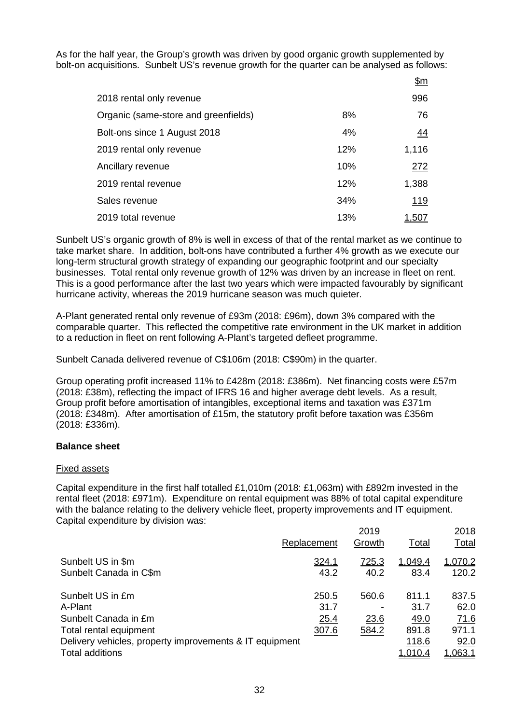As for the half year, the Group's growth was driven by good organic growth supplemented by bolt-on acquisitions. Sunbelt US's revenue growth for the quarter can be analysed as follows:

|                                      |     | <u>\$m</u>   |
|--------------------------------------|-----|--------------|
| 2018 rental only revenue             |     | 996          |
| Organic (same-store and greenfields) | 8%  | 76           |
| Bolt-ons since 1 August 2018         | 4%  | <u>44</u>    |
| 2019 rental only revenue             | 12% | 1,116        |
| Ancillary revenue                    | 10% | 272          |
| 2019 rental revenue                  | 12% | 1,388        |
| Sales revenue                        | 34% | 119          |
| 2019 total revenue                   | 13% | <u>1,507</u> |

Sunbelt US's organic growth of 8% is well in excess of that of the rental market as we continue to take market share. In addition, bolt-ons have contributed a further 4% growth as we execute our long-term structural growth strategy of expanding our geographic footprint and our specialty businesses. Total rental only revenue growth of 12% was driven by an increase in fleet on rent. This is a good performance after the last two years which were impacted favourably by significant hurricane activity, whereas the 2019 hurricane season was much quieter.

A-Plant generated rental only revenue of £93m (2018: £96m), down 3% compared with the comparable quarter. This reflected the competitive rate environment in the UK market in addition to a reduction in fleet on rent following A-Plant's targeted defleet programme.

Sunbelt Canada delivered revenue of C\$106m (2018: C\$90m) in the quarter.

Group operating profit increased 11% to £428m (2018: £386m). Net financing costs were £57m (2018: £38m), reflecting the impact of IFRS 16 and higher average debt levels. As a result, Group profit before amortisation of intangibles, exceptional items and taxation was £371m (2018: £348m). After amortisation of £15m, the statutory profit before taxation was £356m (2018: £336m).

### **Balance sheet**

### Fixed assets

Capital expenditure in the first half totalled £1,010m (2018: £1,063m) with £892m invested in the rental fleet (2018: £971m). Expenditure on rental equipment was 88% of total capital expenditure with the balance relating to the delivery vehicle fleet, property improvements and IT equipment. Capital expenditure by division was:

|                                                                                                                                                             | Replacement                    | 2019<br>Growth         | Total                                                     | 2018<br><b>Total</b>                              |
|-------------------------------------------------------------------------------------------------------------------------------------------------------------|--------------------------------|------------------------|-----------------------------------------------------------|---------------------------------------------------|
| Sunbelt US in \$m<br>Sunbelt Canada in C\$m                                                                                                                 | 324.1<br>43.2                  | <u>725.3</u><br>40.2   | 1,049.4<br>83.4                                           | 1,070.2<br><u>120.2</u>                           |
| Sunbelt US in £m<br>A-Plant<br>Sunbelt Canada in £m<br>Total rental equipment<br>Delivery vehicles, property improvements & IT equipment<br>Total additions | 250.5<br>31.7<br>25.4<br>307.6 | 560.6<br>23.6<br>584.2 | 811.1<br>31.7<br>49.0<br>891.8<br>118.6<br><u>1,010.4</u> | 837.5<br>62.0<br>71.6<br>971.1<br>92.0<br>1,063.1 |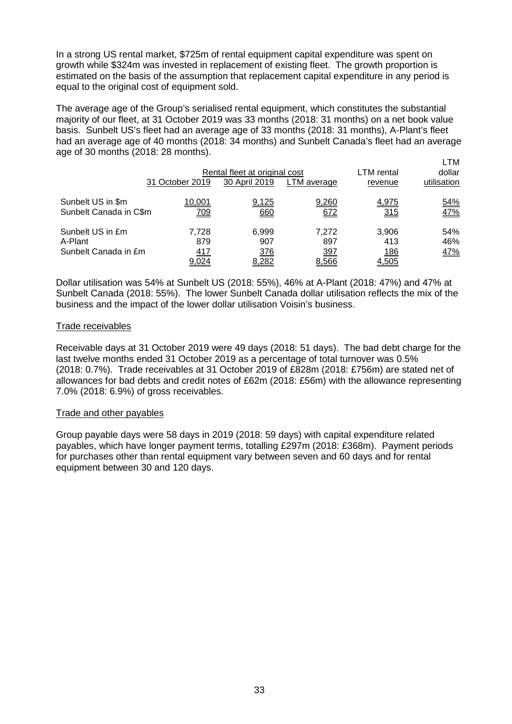In a strong US rental market, \$725m of rental equipment capital expenditure was spent on growth while \$324m was invested in replacement of existing fleet. The growth proportion is estimated on the basis of the assumption that replacement capital expenditure in any period is equal to the original cost of equipment sold.

The average age of the Group's serialised rental equipment, which constitutes the substantial majority of our fleet, at 31 October 2019 was 33 months (2018: 31 months) on a net book value basis. Sunbelt US's fleet had an average age of 33 months (2018: 31 months), A-Plant's fleet had an average age of 40 months (2018: 34 months) and Sunbelt Canada's fleet had an average age of 30 months (2018: 28 months).  $L$ TM

|                                                     |                              | Rental fleet at original cost |                              | LTM rental                           | LIVI<br>dollar    |
|-----------------------------------------------------|------------------------------|-------------------------------|------------------------------|--------------------------------------|-------------------|
|                                                     | 31 October 2019              | 30 April 2019                 | LTM average                  | revenue                              | utilisation       |
| Sunbelt US in \$m<br>Sunbelt Canada in C\$m         | 10,001<br><u>709</u>         | 9,125<br>660                  | 9,260<br>672                 | 4,975<br>315                         | 54%<br>47%        |
| Sunbelt US in £m<br>A-Plant<br>Sunbelt Canada in £m | 7.728<br>879<br>417<br>9,024 | 6.999<br>907<br>376<br>8,282  | 7.272<br>897<br>397<br>8,566 | 3,906<br>413<br><u> 186</u><br>4,505 | 54%<br>46%<br>47% |

Dollar utilisation was 54% at Sunbelt US (2018: 55%), 46% at A-Plant (2018: 47%) and 47% at Sunbelt Canada (2018: 55%). The lower Sunbelt Canada dollar utilisation reflects the mix of the business and the impact of the lower dollar utilisation Voisin's business.

#### Trade receivables

Receivable days at 31 October 2019 were 49 days (2018: 51 days). The bad debt charge for the last twelve months ended 31 October 2019 as a percentage of total turnover was 0.5% (2018: 0.7%). Trade receivables at 31 October 2019 of £828m (2018: £756m) are stated net of allowances for bad debts and credit notes of £62m (2018: £56m) with the allowance representing 7.0% (2018: 6.9%) of gross receivables.

#### Trade and other payables

Group payable days were 58 days in 2019 (2018: 59 days) with capital expenditure related payables, which have longer payment terms, totalling £297m (2018: £368m). Payment periods for purchases other than rental equipment vary between seven and 60 days and for rental equipment between 30 and 120 days.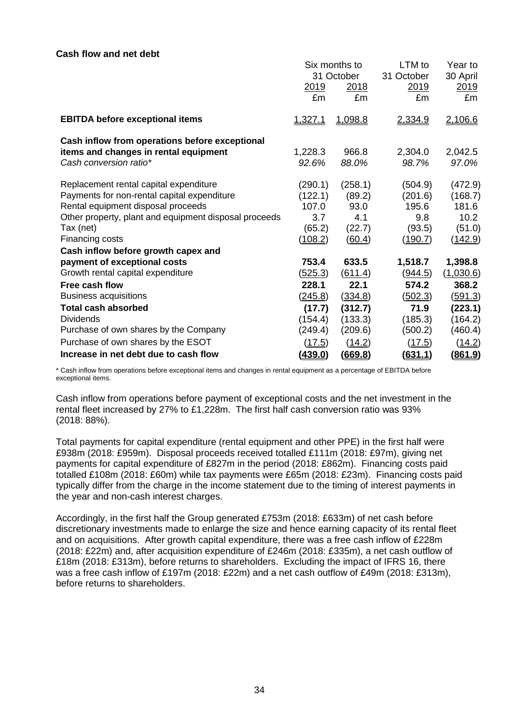#### **Cash flow and net debt**

|                                                                                                                             | 2019<br>£m                  | Six months to<br>31 October<br>2018<br>£m | LTM to<br>31 October<br>2019<br>£m | Year to<br>30 April<br>2019<br>£m |
|-----------------------------------------------------------------------------------------------------------------------------|-----------------------------|-------------------------------------------|------------------------------------|-----------------------------------|
| <b>EBITDA before exceptional items</b>                                                                                      | 1,327.1                     | 1,098.8                                   | 2,334.9                            | 2,106.6                           |
| Cash inflow from operations before exceptional<br>items and changes in rental equipment<br>Cash conversion ratio*           | 1,228.3<br>92.6%            | 966.8<br>88.0%                            | 2,304.0<br>98.7%                   | 2,042.5<br>97.0%                  |
| Replacement rental capital expenditure<br>Payments for non-rental capital expenditure<br>Rental equipment disposal proceeds | (290.1)<br>(122.1)<br>107.0 | (258.1)<br>(89.2)<br>93.0                 | (504.9)<br>(201.6)<br>195.6        | (472.9)<br>(168.7)<br>181.6       |
| Other property, plant and equipment disposal proceeds<br>Tax (net)                                                          | 3.7<br>(65.2)               | 4.1<br>(22.7)                             | 9.8<br>(93.5)                      | 10.2<br>(51.0)                    |
| Financing costs<br>Cash inflow before growth capex and                                                                      | <u>(108.2)</u>              | (60.4)                                    | (190.7)                            | (142.9)                           |
| payment of exceptional costs<br>Growth rental capital expenditure                                                           | 753.4<br>(525.3)            | 633.5<br>(611.4)                          | 1,518.7<br>(944.5)                 | 1,398.8<br>(1,030.6)              |
| Free cash flow<br><b>Business acquisitions</b>                                                                              | 228.1<br><u>(245.8)</u>     | 22.1<br>(334.8)                           | 574.2<br>(502.3)                   | 368.2<br>(591.3)                  |
| <b>Total cash absorbed</b>                                                                                                  | (17.7)                      | (312.7)                                   | 71.9                               | (223.1)                           |
| <b>Dividends</b><br>Purchase of own shares by the Company                                                                   | (154.4)<br>(249.4)          | (133.3)<br>(209.6)                        | (185.3)<br>(500.2)                 | (164.2)<br>(460.4)                |
| Purchase of own shares by the ESOT                                                                                          | (17.5)                      | (14.2)                                    | (17.5)                             | (14.2)                            |
| Increase in net debt due to cash flow                                                                                       | <u>(439.0)</u>              | (669.8)                                   | (631.1)                            | (861.9)                           |

\* Cash inflow from operations before exceptional items and changes in rental equipment as a percentage of EBITDA before exceptional items.

Cash inflow from operations before payment of exceptional costs and the net investment in the rental fleet increased by 27% to £1,228m. The first half cash conversion ratio was 93% (2018: 88%).

Total payments for capital expenditure (rental equipment and other PPE) in the first half were £938m (2018: £959m). Disposal proceeds received totalled £111m (2018: £97m), giving net payments for capital expenditure of £827m in the period (2018: £862m). Financing costs paid totalled £108m (2018: £60m) while tax payments were £65m (2018: £23m). Financing costs paid typically differ from the charge in the income statement due to the timing of interest payments in the year and non-cash interest charges.

Accordingly, in the first half the Group generated £753m (2018: £633m) of net cash before discretionary investments made to enlarge the size and hence earning capacity of its rental fleet and on acquisitions. After growth capital expenditure, there was a free cash inflow of £228m (2018: £22m) and, after acquisition expenditure of £246m (2018: £335m), a net cash outflow of £18m (2018: £313m), before returns to shareholders. Excluding the impact of IFRS 16, there was a free cash inflow of £197m (2018: £22m) and a net cash outflow of £49m (2018: £313m), before returns to shareholders.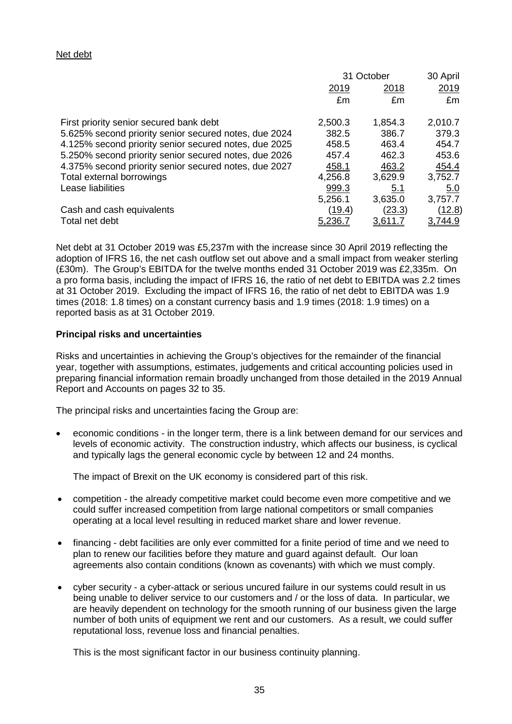### Net debt

|                                                       | 31 October |                | 30 April      |
|-------------------------------------------------------|------------|----------------|---------------|
|                                                       | 2019       | 2018           | 2019          |
|                                                       | £m         | £m             | £m            |
| First priority senior secured bank debt               | 2,500.3    | 1,854.3        | 2,010.7       |
| 5.625% second priority senior secured notes, due 2024 | 382.5      | 386.7          | 379.3         |
| 4.125% second priority senior secured notes, due 2025 | 458.5      | 463.4          | 454.7         |
| 5.250% second priority senior secured notes, due 2026 | 457.4      | 462.3          | 453.6         |
| 4.375% second priority senior secured notes, due 2027 | 458.1      | 463.2          | 454.4         |
| Total external borrowings                             | 4,256.8    | 3,629.9        | 3,752.7       |
| Lease liabilities                                     | 999.3      | 5.1            | 5.0           |
|                                                       | 5,256.1    | 3,635.0        | 3,757.7       |
| Cash and cash equivalents                             | (19.4)     | <u>(23.3)</u>  | <u>(12.8)</u> |
| Total net debt                                        | 5,236.7    | <u>3,611.7</u> | 3,744.9       |

Net debt at 31 October 2019 was £5,237m with the increase since 30 April 2019 reflecting the adoption of IFRS 16, the net cash outflow set out above and a small impact from weaker sterling (£30m). The Group's EBITDA for the twelve months ended 31 October 2019 was £2,335m. On a pro forma basis, including the impact of IFRS 16, the ratio of net debt to EBITDA was 2.2 times at 31 October 2019. Excluding the impact of IFRS 16, the ratio of net debt to EBITDA was 1.9 times (2018: 1.8 times) on a constant currency basis and 1.9 times (2018: 1.9 times) on a reported basis as at 31 October 2019.

#### **Principal risks and uncertainties**

Risks and uncertainties in achieving the Group's objectives for the remainder of the financial year, together with assumptions, estimates, judgements and critical accounting policies used in preparing financial information remain broadly unchanged from those detailed in the 2019 Annual Report and Accounts on pages 32 to 35.

The principal risks and uncertainties facing the Group are:

• economic conditions - in the longer term, there is a link between demand for our services and levels of economic activity. The construction industry, which affects our business, is cyclical and typically lags the general economic cycle by between 12 and 24 months.

The impact of Brexit on the UK economy is considered part of this risk.

- competition the already competitive market could become even more competitive and we could suffer increased competition from large national competitors or small companies operating at a local level resulting in reduced market share and lower revenue.
- financing debt facilities are only ever committed for a finite period of time and we need to plan to renew our facilities before they mature and guard against default. Our loan agreements also contain conditions (known as covenants) with which we must comply.
- cyber security a cyber-attack or serious uncured failure in our systems could result in us being unable to deliver service to our customers and / or the loss of data. In particular, we are heavily dependent on technology for the smooth running of our business given the large number of both units of equipment we rent and our customers. As a result, we could suffer reputational loss, revenue loss and financial penalties.

This is the most significant factor in our business continuity planning.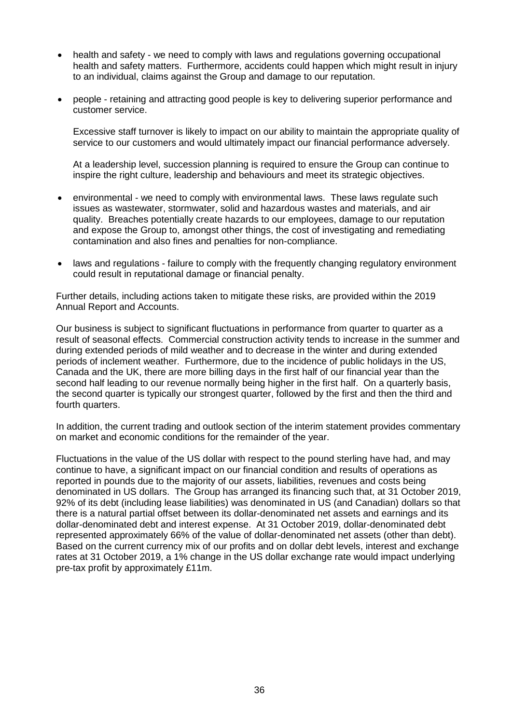- health and safety we need to comply with laws and regulations governing occupational health and safety matters. Furthermore, accidents could happen which might result in injury to an individual, claims against the Group and damage to our reputation.
- people retaining and attracting good people is key to delivering superior performance and customer service.

Excessive staff turnover is likely to impact on our ability to maintain the appropriate quality of service to our customers and would ultimately impact our financial performance adversely.

At a leadership level, succession planning is required to ensure the Group can continue to inspire the right culture, leadership and behaviours and meet its strategic objectives.

- environmental we need to comply with environmental laws. These laws regulate such issues as wastewater, stormwater, solid and hazardous wastes and materials, and air quality. Breaches potentially create hazards to our employees, damage to our reputation and expose the Group to, amongst other things, the cost of investigating and remediating contamination and also fines and penalties for non-compliance.
- laws and regulations failure to comply with the frequently changing regulatory environment could result in reputational damage or financial penalty.

Further details, including actions taken to mitigate these risks, are provided within the 2019 Annual Report and Accounts.

Our business is subject to significant fluctuations in performance from quarter to quarter as a result of seasonal effects. Commercial construction activity tends to increase in the summer and during extended periods of mild weather and to decrease in the winter and during extended periods of inclement weather. Furthermore, due to the incidence of public holidays in the US, Canada and the UK, there are more billing days in the first half of our financial year than the second half leading to our revenue normally being higher in the first half. On a quarterly basis, the second quarter is typically our strongest quarter, followed by the first and then the third and fourth quarters.

In addition, the current trading and outlook section of the interim statement provides commentary on market and economic conditions for the remainder of the year.

Fluctuations in the value of the US dollar with respect to the pound sterling have had, and may continue to have, a significant impact on our financial condition and results of operations as reported in pounds due to the majority of our assets, liabilities, revenues and costs being denominated in US dollars. The Group has arranged its financing such that, at 31 October 2019, 92% of its debt (including lease liabilities) was denominated in US (and Canadian) dollars so that there is a natural partial offset between its dollar-denominated net assets and earnings and its dollar-denominated debt and interest expense. At 31 October 2019, dollar-denominated debt represented approximately 66% of the value of dollar-denominated net assets (other than debt). Based on the current currency mix of our profits and on dollar debt levels, interest and exchange rates at 31 October 2019, a 1% change in the US dollar exchange rate would impact underlying pre-tax profit by approximately £11m.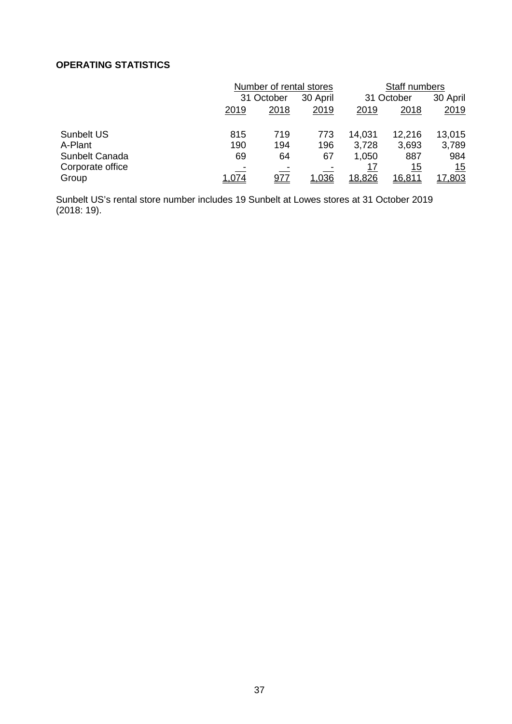# **OPERATING STATISTICS**

|                  | Number of rental stores |            |       | <b>Staff numbers</b> |               |          |  |
|------------------|-------------------------|------------|-------|----------------------|---------------|----------|--|
|                  |                         | 31 October |       |                      | 31 October    | 30 April |  |
|                  | 2019                    | 2018       | 2019  | 2019                 | 2018          | 2019     |  |
| Sunbelt US       | 815                     | 719        | 773   | 14,031               | 12,216        | 13,015   |  |
| A-Plant          | 190                     | 194        | 196   | 3,728                | 3,693         | 3,789    |  |
| Sunbelt Canada   | 69                      | 64         | 67    | 1,050                | 887           | 984      |  |
| Corporate office |                         |            |       | 17                   | 15            | 15       |  |
| Group            | <u>1.074</u>            | <u>977</u> | 1,036 | <u>18,826</u>        | <u>16,811</u> | 17,803   |  |

Sunbelt US's rental store number includes 19 Sunbelt at Lowes stores at 31 October 2019 (2018: 19).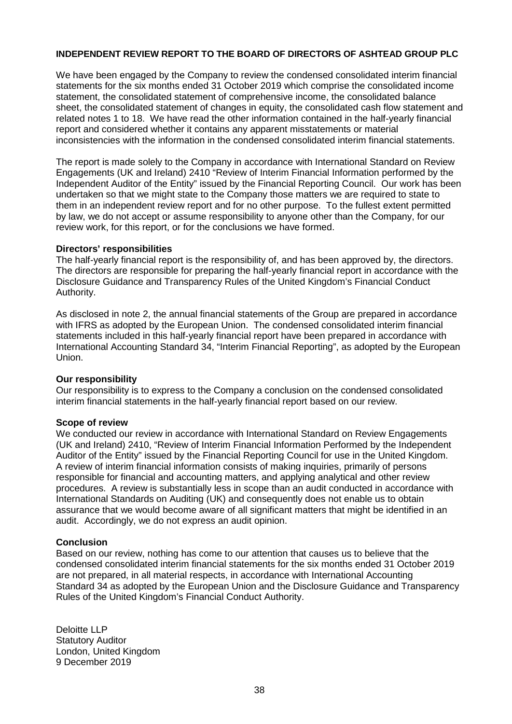### **INDEPENDENT REVIEW REPORT TO THE BOARD OF DIRECTORS OF ASHTEAD GROUP PLC**

We have been engaged by the Company to review the condensed consolidated interim financial statements for the six months ended 31 October 2019 which comprise the consolidated income statement, the consolidated statement of comprehensive income, the consolidated balance sheet, the consolidated statement of changes in equity, the consolidated cash flow statement and related notes 1 to 18. We have read the other information contained in the half-yearly financial report and considered whether it contains any apparent misstatements or material inconsistencies with the information in the condensed consolidated interim financial statements.

The report is made solely to the Company in accordance with International Standard on Review Engagements (UK and Ireland) 2410 "Review of Interim Financial Information performed by the Independent Auditor of the Entity" issued by the Financial Reporting Council. Our work has been undertaken so that we might state to the Company those matters we are required to state to them in an independent review report and for no other purpose. To the fullest extent permitted by law, we do not accept or assume responsibility to anyone other than the Company, for our review work, for this report, or for the conclusions we have formed.

#### **Directors' responsibilities**

The half-yearly financial report is the responsibility of, and has been approved by, the directors. The directors are responsible for preparing the half-yearly financial report in accordance with the Disclosure Guidance and Transparency Rules of the United Kingdom's Financial Conduct Authority.

As disclosed in note 2, the annual financial statements of the Group are prepared in accordance with IFRS as adopted by the European Union. The condensed consolidated interim financial statements included in this half-yearly financial report have been prepared in accordance with International Accounting Standard 34, "Interim Financial Reporting", as adopted by the European Union.

### **Our responsibility**

Our responsibility is to express to the Company a conclusion on the condensed consolidated interim financial statements in the half-yearly financial report based on our review.

#### **Scope of review**

We conducted our review in accordance with International Standard on Review Engagements (UK and Ireland) 2410, "Review of Interim Financial Information Performed by the Independent Auditor of the Entity" issued by the Financial Reporting Council for use in the United Kingdom. A review of interim financial information consists of making inquiries, primarily of persons responsible for financial and accounting matters, and applying analytical and other review procedures. A review is substantially less in scope than an audit conducted in accordance with International Standards on Auditing (UK) and consequently does not enable us to obtain assurance that we would become aware of all significant matters that might be identified in an audit. Accordingly, we do not express an audit opinion.

### **Conclusion**

Based on our review, nothing has come to our attention that causes us to believe that the condensed consolidated interim financial statements for the six months ended 31 October 2019 are not prepared, in all material respects, in accordance with International Accounting Standard 34 as adopted by the European Union and the Disclosure Guidance and Transparency Rules of the United Kingdom's Financial Conduct Authority.

Deloitte LLP Statutory Auditor London, United Kingdom 9 December 2019